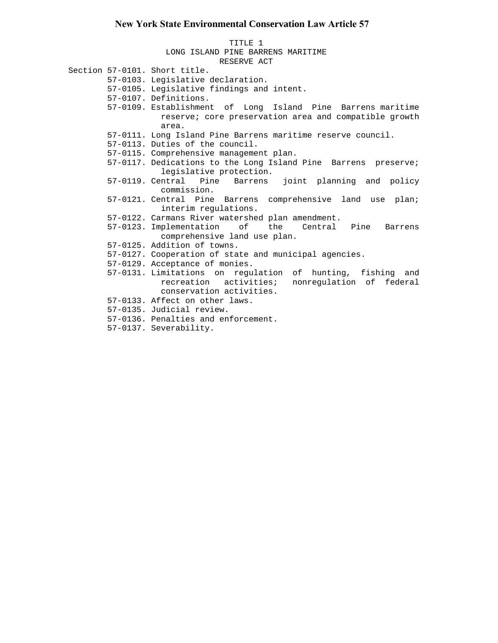## **New York State Environmental Conservation Law Article 57**

TITLE 1 LONG ISLAND PINE BARRENS MARITIME RESERVE ACT Section 57-0101. Short title. 57-0103. Legislative declaration. 57-0105. Legislative findings and intent. 57-0107. Definitions. 57-0109. Establishment of Long Island Pine Barrens maritime reserve; core preservation area and compatible growth area. 57-0111. Long Island Pine Barrens maritime reserve council. 57-0113. Duties of the council. 57-0115. Comprehensive management plan. 57-0117. Dedications to the Long Island Pine Barrens preserve; legislative protection. 57-0119. Central Pine Barrens joint planning and policy commission. 57-0121. Central Pine Barrens comprehensive land use plan; interim regulations. 57-0122. Carmans River watershed plan amendment. 57-0123. Implementation of the Central Pine Barrens comprehensive land use plan. 57-0125. Addition of towns. 57-0127. Cooperation of state and municipal agencies. 57-0129. Acceptance of monies. 57-0131. Limitations on regulation of hunting, fishing and recreation activities; nonregulation of federal conservation activities. 57-0133. Affect on other laws. 57-0135. Judicial review. 57-0136. Penalties and enforcement. 57-0137. Severability.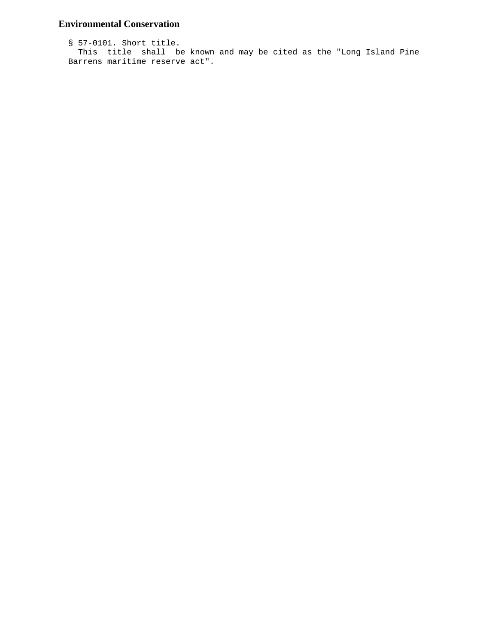# **Environmental Conservation**

```
 § 57-0101. Short title.
 This title shall be known and may be cited as the "Long Island Pine
Barrens maritime reserve act".
```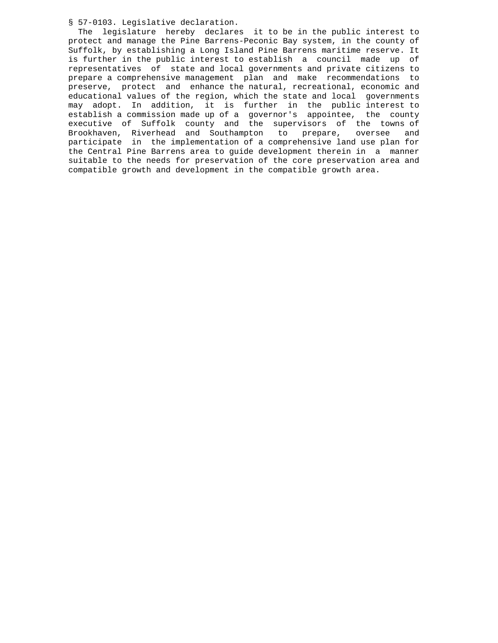§ 57-0103. Legislative declaration.

 The legislature hereby declares it to be in the public interest to protect and manage the Pine Barrens-Peconic Bay system, in the county of Suffolk, by establishing a Long Island Pine Barrens maritime reserve. It is further in the public interest to establish a council made up of representatives of state and local governments and private citizens to prepare a comprehensive management plan and make recommendations to preserve, protect and enhance the natural, recreational, economic and educational values of the region, which the state and local governments may adopt. In addition, it is further in the public interest to establish a commission made up of a governor's appointee, the county executive of Suffolk county and the supervisors of the towns of Brookhaven, Riverhead and Southampton to prepare, oversee and participate in the implementation of a comprehensive land use plan for the Central Pine Barrens area to guide development therein in a manner suitable to the needs for preservation of the core preservation area and compatible growth and development in the compatible growth area.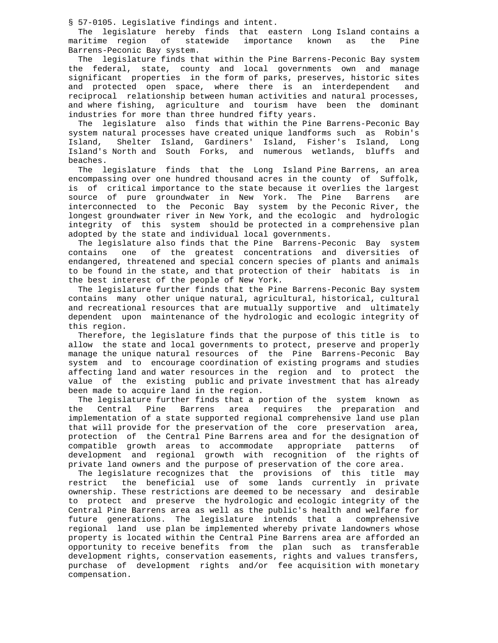§ 57-0105. Legislative findings and intent.

 The legislature hereby finds that eastern Long Island contains a maritime region of statewide importance known as the Pine Barrens-Peconic Bay system.

 The legislature finds that within the Pine Barrens-Peconic Bay system the federal, state, county and local governments own and manage significant properties in the form of parks, preserves, historic sites and protected open space, where there is an interdependent and reciprocal relationship between human activities and natural processes, and where fishing, agriculture and tourism have been the dominant industries for more than three hundred fifty years.

 The legislature also finds that within the Pine Barrens-Peconic Bay system natural processes have created unique landforms such as Robin's Island, Shelter Island, Gardiners' Island, Fisher's Island, Long Island's North and South Forks, and numerous wetlands, bluffs and beaches.

 The legislature finds that the Long Island Pine Barrens, an area encompassing over one hundred thousand acres in the county of Suffolk, is of critical importance to the state because it overlies the largest source of pure groundwater in New York. The Pine Barrens are interconnected to the Peconic Bay system by the Peconic River, the longest groundwater river in New York, and the ecologic and hydrologic integrity of this system should be protected in a comprehensive plan adopted by the state and individual local governments.

 The legislature also finds that the Pine Barrens-Peconic Bay system contains one of the greatest concentrations and diversities of endangered, threatened and special concern species of plants and animals to be found in the state, and that protection of their habitats is in the best interest of the people of New York.

 The legislature further finds that the Pine Barrens-Peconic Bay system contains many other unique natural, agricultural, historical, cultural and recreational resources that are mutually supportive and ultimately dependent upon maintenance of the hydrologic and ecologic integrity of this region.

 Therefore, the legislature finds that the purpose of this title is to allow the state and local governments to protect, preserve and properly manage the unique natural resources of the Pine Barrens-Peconic Bay system and to encourage coordination of existing programs and studies affecting land and water resources in the region and to protect the value of the existing public and private investment that has already been made to acquire land in the region.

The legislature further finds that a portion of the system known as<br>the Central Pine Barrens area requires the preparation and Central Pine Barrens area requires the preparation and implementation of a state supported regional comprehensive land use plan that will provide for the preservation of the core preservation area, protection of the Central Pine Barrens area and for the designation of<br>compatible growth areas to accommodate appropriate patterns of compatible growth areas to accommodate appropriate patterns development and regional growth with recognition of the rights of private land owners and the purpose of preservation of the core area.

 The legislature recognizes that the provisions of this title may restrict the beneficial use of some lands currently in private ownership. These restrictions are deemed to be necessary and desirable to protect and preserve the hydrologic and ecologic integrity of the Central Pine Barrens area as well as the public's health and welfare for future generations. The legislature intends that a comprehensive regional land use plan be implemented whereby private landowners whose property is located within the Central Pine Barrens area are afforded an opportunity to receive benefits from the plan such as transferable development rights, conservation easements, rights and values transfers, purchase of development rights and/or fee acquisition with monetary compensation.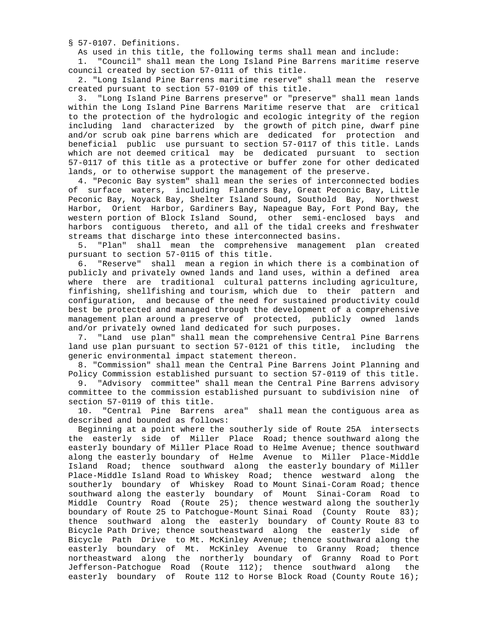§ 57-0107. Definitions.

As used in this title, the following terms shall mean and include:

 1. "Council" shall mean the Long Island Pine Barrens maritime reserve council created by section 57-0111 of this title.

 2. "Long Island Pine Barrens maritime reserve" shall mean the reserve created pursuant to section 57-0109 of this title.

 3. "Long Island Pine Barrens preserve" or "preserve" shall mean lands within the Long Island Pine Barrens Maritime reserve that are critical to the protection of the hydrologic and ecologic integrity of the region including land characterized by the growth of pitch pine, dwarf pine and/or scrub oak pine barrens which are dedicated for protection and beneficial public use pursuant to section 57-0117 of this title. Lands which are not deemed critical may be dedicated pursuant to section 57-0117 of this title as a protective or buffer zone for other dedicated lands, or to otherwise support the management of the preserve.

 4. "Peconic Bay system" shall mean the series of interconnected bodies of surface waters, including Flanders Bay, Great Peconic Bay, Little Peconic Bay, Noyack Bay, Shelter Island Sound, Southold Bay, Northwest Harbor, Orient Harbor, Gardiners Bay, Napeague Bay, Fort Pond Bay, the western portion of Block Island Sound, other semi-enclosed bays and harbors contiguous thereto, and all of the tidal creeks and freshwater streams that discharge into these interconnected basins.

 5. "Plan" shall mean the comprehensive management plan created pursuant to section 57-0115 of this title.

 6. "Reserve" shall mean a region in which there is a combination of publicly and privately owned lands and land uses, within a defined area where there are traditional cultural patterns including agriculture, finfishing, shellfishing and tourism, which due to their pattern and configuration, and because of the need for sustained productivity could best be protected and managed through the development of a comprehensive management plan around a preserve of protected, publicly owned lands and/or privately owned land dedicated for such purposes.

 7. "Land use plan" shall mean the comprehensive Central Pine Barrens land use plan pursuant to section 57-0121 of this title, including the generic environmental impact statement thereon.

 8. "Commission" shall mean the Central Pine Barrens Joint Planning and Policy Commission established pursuant to section 57-0119 of this title.

 9. "Advisory committee" shall mean the Central Pine Barrens advisory committee to the commission established pursuant to subdivision nine of section 57-0119 of this title.

 10. "Central Pine Barrens area" shall mean the contiguous area as described and bounded as follows:

 Beginning at a point where the southerly side of Route 25A intersects the easterly side of Miller Place Road; thence southward along the easterly boundary of Miller Place Road to Helme Avenue; thence southward along the easterly boundary of Helme Avenue to Miller Place-Middle Island Road; thence southward along the easterly boundary of Miller Place-Middle Island Road to Whiskey Road; thence westward along the southerly boundary of Whiskey Road to Mount Sinai-Coram Road; thence southward along the easterly boundary of Mount Sinai-Coram Road to Middle Country Road (Route 25); thence westward along the southerly boundary of Route 25 to Patchogue-Mount Sinai Road (County Route 83); thence southward along the easterly boundary of County Route 83 to Bicycle Path Drive; thence southeastward along the easterly side of Bicycle Path Drive to Mt. McKinley Avenue; thence southward along the easterly boundary of Mt. McKinley Avenue to Granny Road; thence northeastward along the northerly boundary of Granny Road to Port Jefferson-Patchogue Road (Route 112); thence southward along the easterly boundary of Route 112 to Horse Block Road (County Route 16);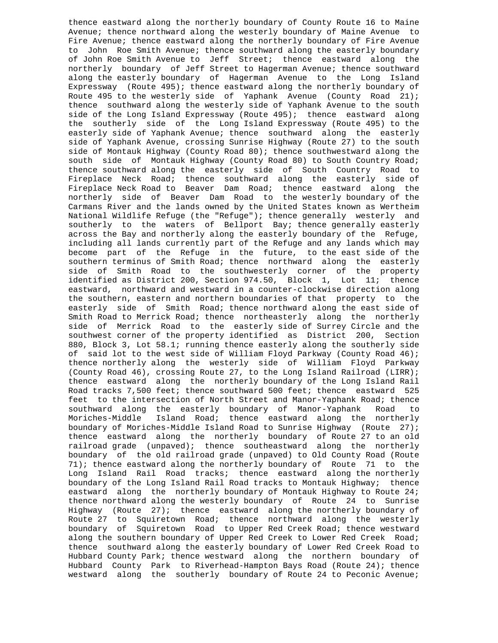thence eastward along the northerly boundary of County Route 16 to Maine Avenue; thence northward along the westerly boundary of Maine Avenue to Fire Avenue; thence eastward along the northerly boundary of Fire Avenue to John Roe Smith Avenue; thence southward along the easterly boundary of John Roe Smith Avenue to Jeff Street; thence eastward along the northerly boundary of Jeff Street to Hagerman Avenue; thence southward along the easterly boundary of Hagerman Avenue to the Long Island Expressway (Route 495); thence eastward along the northerly boundary of Route 495 to the westerly side of Yaphank Avenue (County Road 21); thence southward along the westerly side of Yaphank Avenue to the south side of the Long Island Expressway (Route 495); thence eastward along the southerly side of the Long Island Expressway (Route 495) to the easterly side of Yaphank Avenue; thence southward along the easterly side of Yaphank Avenue, crossing Sunrise Highway (Route 27) to the south side of Montauk Highway (County Road 80); thence southwestward along the south side of Montauk Highway (County Road 80) to South Country Road; thence southward along the easterly side of South Country Road to Fireplace Neck Road; thence southward along the easterly side of Fireplace Neck Road to Beaver Dam Road; thence eastward along the northerly side of Beaver Dam Road to the westerly boundary of the Carmans River and the lands owned by the United States known as Wertheim National Wildlife Refuge (the "Refuge"); thence generally westerly and southerly to the waters of Bellport Bay; thence generally easterly across the Bay and northerly along the easterly boundary of the Refuge, including all lands currently part of the Refuge and any lands which may become part of the Refuge in the future, to the east side of the southern terminus of Smith Road; thence northward along the easterly side of Smith Road to the southwesterly corner of the property identified as District 200, Section 974.50, Block 1, Lot 11; thence eastward, northward and westward in a counter-clockwise direction along the southern, eastern and northern boundaries of that property to the easterly side of Smith Road; thence northward along the east side of Smith Road to Merrick Road; thence northeasterly along the northerly side of Merrick Road to the easterly side of Surrey Circle and the southwest corner of the property identified as District 200, Section 880, Block 3, Lot 58.1; running thence easterly along the southerly side of said lot to the west side of William Floyd Parkway (County Road 46); thence northerly along the westerly side of William Floyd Parkway (County Road 46), crossing Route 27, to the Long Island Railroad (LIRR); thence eastward along the northerly boundary of the Long Island Rail Road tracks 7,500 feet; thence southward 500 feet; thence eastward 525 feet to the intersection of North Street and Manor-Yaphank Road; thence<br>southward along the easterly boundary of Manor-Yaphank, Road, to southward along the easterly boundary of Manor-Yaphank Road Moriches-Middle Island Road; thence eastward along the northerly boundary of Moriches-Middle Island Road to Sunrise Highway (Route 27); thence eastward along the northerly boundary of Route 27 to an old railroad grade (unpaved); thence southeastward along the northerly boundary of the old railroad grade (unpaved) to Old County Road (Route 71); thence eastward along the northerly boundary of Route 71 to the Long Island Rail Road tracks; thence eastward along the northerly boundary of the Long Island Rail Road tracks to Montauk Highway; thence eastward along the northerly boundary of Montauk Highway to Route 24; thence northward along the westerly boundary of Route 24 to Sunrise Highway (Route 27); thence eastward along the northerly boundary of Route 27 to Squiretown Road; thence northward along the westerly boundary of Squiretown Road to Upper Red Creek Road; thence westward along the southern boundary of Upper Red Creek to Lower Red Creek Road; thence southward along the easterly boundary of Lower Red Creek Road to Hubbard County Park; thence westward along the northern boundary of Hubbard County Park to Riverhead-Hampton Bays Road (Route 24); thence westward along the southerly boundary of Route 24 to Peconic Avenue;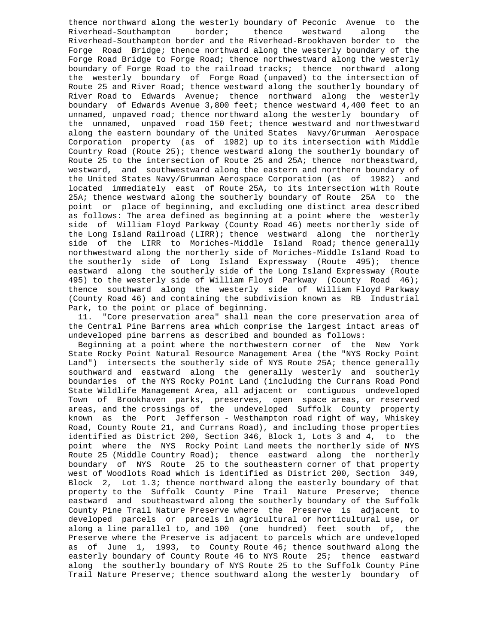thence northward along the westerly boundary of Peconic Avenue to the<br>Riverhead-Southampton border; thence westward along the border; thence westward Riverhead-Southampton border and the Riverhead-Brookhaven border to the Forge Road Bridge; thence northward along the westerly boundary of the Forge Road Bridge to Forge Road; thence northwestward along the westerly boundary of Forge Road to the railroad tracks; thence northward along the westerly boundary of Forge Road (unpaved) to the intersection of Route 25 and River Road; thence westward along the southerly boundary of River Road to Edwards Avenue; thence northward along the westerly boundary of Edwards Avenue 3,800 feet; thence westward 4,400 feet to an unnamed, unpaved road; thence northward along the westerly boundary of the unnamed, unpaved road 150 feet; thence westward and northwestward along the eastern boundary of the United States Navy/Grumman Aerospace Corporation property (as of 1982) up to its intersection with Middle Country Road (Route 25); thence westward along the southerly boundary of Route 25 to the intersection of Route 25 and 25A; thence northeastward, westward, and southwestward along the eastern and northern boundary of the United States Navy/Grumman Aerospace Corporation (as of 1982) and located immediately east of Route 25A, to its intersection with Route 25A; thence westward along the southerly boundary of Route 25A to the point or place of beginning, and excluding one distinct area described as follows: The area defined as beginning at a point where the westerly side of William Floyd Parkway (County Road 46) meets northerly side of the Long Island Railroad (LIRR); thence westward along the northerly side of the LIRR to Moriches-Middle Island Road; thence generally northwestward along the northerly side of Moriches-Middle Island Road to the southerly side of Long Island Expressway (Route 495); thence eastward along the southerly side of the Long Island Expressway (Route 495) to the westerly side of William Floyd Parkway (County Road 46); thence southward along the westerly side of William Floyd Parkway (County Road 46) and containing the subdivision known as RB Industrial Park, to the point or place of beginning.

 11. "Core preservation area" shall mean the core preservation area of the Central Pine Barrens area which comprise the largest intact areas of undeveloped pine barrens as described and bounded as follows:

 Beginning at a point where the northwestern corner of the New York State Rocky Point Natural Resource Management Area (the "NYS Rocky Point Land") intersects the southerly side of NYS Route 25A; thence generally southward and eastward along the generally westerly and southerly boundaries of the NYS Rocky Point Land (including the Currans Road Pond State Wildlife Management Area, all adjacent or contiguous undeveloped Town of Brookhaven parks, preserves, open space areas, or reserved areas, and the crossings of the undeveloped Suffolk County property known as the Port Jefferson - Westhampton road right of way, Whiskey Road, County Route 21, and Currans Road), and including those properties identified as District 200, Section 346, Block 1, Lots 3 and 4, to the point where the NYS Rocky Point Land meets the northerly side of NYS Route 25 (Middle Country Road); thence eastward along the northerly boundary of NYS Route 25 to the southeastern corner of that property west of Woodlots Road which is identified as District 200, Section 349, Block 2, Lot 1.3; thence northward along the easterly boundary of that property to the Suffolk County Pine Trail Nature Preserve; thence eastward and southeastward along the southerly boundary of the Suffolk County Pine Trail Nature Preserve where the Preserve is adjacent to developed parcels or parcels in agricultural or horticultural use, or along a line parallel to, and 100 (one hundred) feet south of, the Preserve where the Preserve is adjacent to parcels which are undeveloped as of June 1, 1993, to County Route 46; thence southward along the easterly boundary of County Route 46 to NYS Route 25; thence eastward along the southerly boundary of NYS Route 25 to the Suffolk County Pine Trail Nature Preserve; thence southward along the westerly boundary of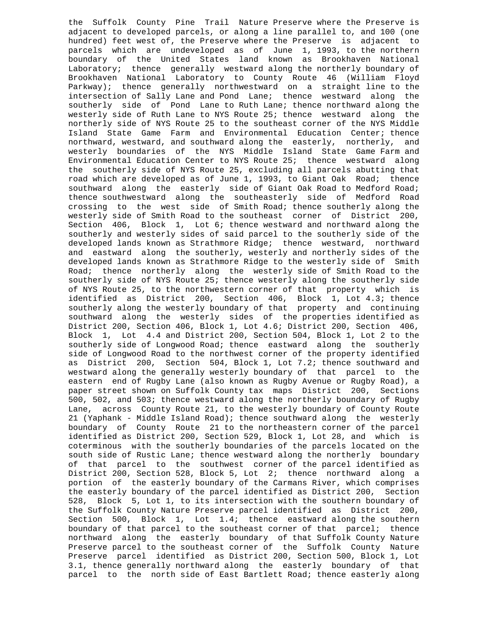the Suffolk County Pine Trail Nature Preserve where the Preserve is adjacent to developed parcels, or along a line parallel to, and 100 (one hundred) feet west of, the Preserve where the Preserve is adjacent to parcels which are undeveloped as of June 1, 1993, to the northern boundary of the United States land known as Brookhaven National Laboratory; thence generally westward along the northerly boundary of Brookhaven National Laboratory to County Route 46 (William Floyd Parkway); thence generally northwestward on a straight line to the intersection of Sally Lane and Pond Lane; thence westward along the southerly side of Pond Lane to Ruth Lane; thence northward along the westerly side of Ruth Lane to NYS Route 25; thence westward along the northerly side of NYS Route 25 to the southeast corner of the NYS Middle Island State Game Farm and Environmental Education Center; thence northward, westward, and southward along the easterly, northerly, and westerly boundaries of the NYS Middle Island State Game Farm and Environmental Education Center to NYS Route 25; thence westward along the southerly side of NYS Route 25, excluding all parcels abutting that road which are developed as of June 1, 1993, to Giant Oak Road; thence southward along the easterly side of Giant Oak Road to Medford Road; thence southwestward along the southeasterly side of Medford Road crossing to the west side of Smith Road; thence southerly along the westerly side of Smith Road to the southeast corner of District 200, Section 406, Block 1, Lot 6; thence westward and northward along the southerly and westerly sides of said parcel to the southerly side of the developed lands known as Strathmore Ridge; thence westward, northward and eastward along the southerly, westerly and northerly sides of the developed lands known as Strathmore Ridge to the westerly side of Smith Road; thence northerly along the westerly side of Smith Road to the southerly side of NYS Route 25; thence westerly along the southerly side of NYS Route 25, to the northwestern corner of that property which is identified as District 200, Section 406, Block 1, Lot 4.3; thence southerly along the westerly boundary of that property and continuing southward along the westerly sides of the properties identified as District 200, Section 406, Block 1, Lot 4.6; District 200, Section 406, Block 1, Lot 4.4 and District 200, Section 504, Block 1, Lot 2 to the southerly side of Longwood Road; thence eastward along the southerly side of Longwood Road to the northwest corner of the property identified as District 200, Section 504, Block 1, Lot 7.2; thence southward and westward along the generally westerly boundary of that parcel to the eastern end of Rugby Lane (also known as Rugby Avenue or Rugby Road), a paper street shown on Suffolk County tax maps District 200, Sections 500, 502, and 503; thence westward along the northerly boundary of Rugby Lane, across County Route 21, to the westerly boundary of County Route 21 (Yaphank - Middle Island Road); thence southward along the westerly boundary of County Route 21 to the northeastern corner of the parcel identified as District 200, Section 529, Block 1, Lot 28, and which is coterminous with the southerly boundaries of the parcels located on the south side of Rustic Lane; thence westward along the northerly boundary of that parcel to the southwest corner of the parcel identified as District 200, Section 528, Block 5, Lot 2; thence northward along a portion of the easterly boundary of the Carmans River, which comprises the easterly boundary of the parcel identified as District 200, Section 528, Block 5, Lot 1, to its intersection with the southern boundary of the Suffolk County Nature Preserve parcel identified as District 200, Section 500, Block 1, Lot 1.4; thence eastward along the southern boundary of that parcel to the southeast corner of that parcel; thence northward along the easterly boundary of that Suffolk County Nature Preserve parcel to the southeast corner of the Suffolk County Nature Preserve parcel identified as District 200, Section 500, Block 1, Lot 3.1, thence generally northward along the easterly boundary of that parcel to the north side of East Bartlett Road; thence easterly along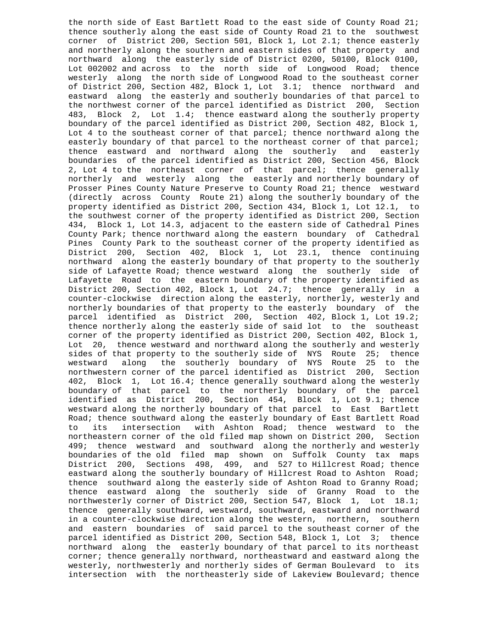the north side of East Bartlett Road to the east side of County Road 21; thence southerly along the east side of County Road 21 to the southwest corner of District 200, Section 501, Block 1, Lot 2.1; thence easterly and northerly along the southern and eastern sides of that property and northward along the easterly side of District 0200, 50100, Block 0100, Lot 002002 and across to the north side of Longwood Road; thence westerly along the north side of Longwood Road to the southeast corner of District 200, Section 482, Block 1, Lot 3.1; thence northward and eastward along the easterly and southerly boundaries of that parcel to the northwest corner of the parcel identified as District 200, Section 483, Block 2, Lot 1.4; thence eastward along the southerly property boundary of the parcel identified as District 200, Section 482, Block 1, Lot 4 to the southeast corner of that parcel; thence northward along the easterly boundary of that parcel to the northeast corner of that parcel;<br>thence eastward and northward along the southerly and easterly thence eastward and northward along the southerly boundaries of the parcel identified as District 200, Section 456, Block 2, Lot 4 to the northeast corner of that parcel; thence generally northerly and westerly along the easterly and northerly boundary of Prosser Pines County Nature Preserve to County Road 21; thence westward (directly across County Route 21) along the southerly boundary of the property identified as District 200, Section 434, Block 1, Lot 12.1, to the southwest corner of the property identified as District 200, Section 434, Block 1, Lot 14.3, adjacent to the eastern side of Cathedral Pines County Park; thence northward along the eastern boundary of Cathedral Pines County Park to the southeast corner of the property identified as District 200, Section 402, Block 1, Lot 23.1, thence continuing northward along the easterly boundary of that property to the southerly side of Lafayette Road; thence westward along the southerly side of Lafayette Road to the eastern boundary of the property identified as District 200, Section 402, Block 1, Lot 24.7; thence generally in a counter-clockwise direction along the easterly, northerly, westerly and northerly boundaries of that property to the easterly boundary of the parcel identified as District 200, Section 402, Block 1, Lot 19.2; thence northerly along the easterly side of said lot to the southeast corner of the property identified as District 200, Section 402, Block 1, Lot 20, thence westward and northward along the southerly and westerly sides of that property to the southerly side of NYS Route 25; thence<br>westward along the southerly boundary of NYS Route 25 to the along the southerly boundary of NYS Route 25 to the northwestern corner of the parcel identified as District 200, Section 402, Block 1, Lot 16.4; thence generally southward along the westerly boundary of that parcel to the northerly boundary of the parcel identified as District 200, Section 454, Block 1, Lot 9.1; thence westward along the northerly boundary of that parcel to East Bartlett Road; thence southward along the easterly boundary of East Bartlett Road to its intersection with Ashton Road; thence westward to the northeastern corner of the old filed map shown on District 200, Section 499; thence westward and southward along the northerly and westerly boundaries of the old filed map shown on Suffolk County tax maps District 200, Sections 498, 499, and 527 to Hillcrest Road; thence eastward along the southerly boundary of Hillcrest Road to Ashton Road; thence southward along the easterly side of Ashton Road to Granny Road; thence eastward along the southerly side of Granny Road to the northwesterly corner of District 200, Section 547, Block 1, Lot 18.1; thence generally southward, westward, southward, eastward and northward in a counter-clockwise direction along the western, northern, southern and eastern boundaries of said parcel to the southeast corner of the parcel identified as District 200, Section 548, Block 1, Lot 3; thence northward along the easterly boundary of that parcel to its northeast corner; thence generally northward, northeastward and eastward along the westerly, northwesterly and northerly sides of German Boulevard to its intersection with the northeasterly side of Lakeview Boulevard; thence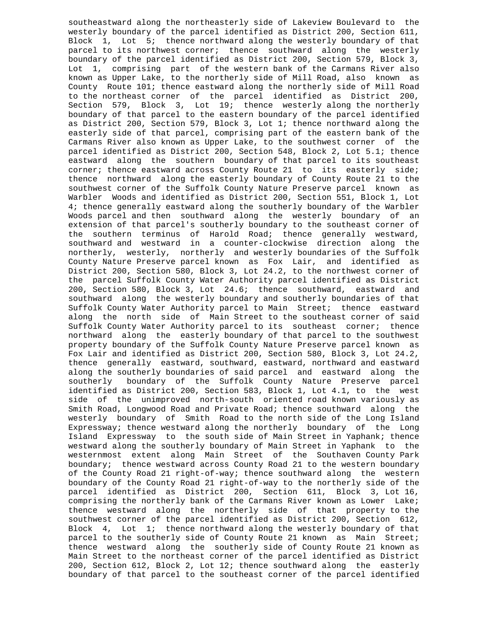southeastward along the northeasterly side of Lakeview Boulevard to the westerly boundary of the parcel identified as District 200, Section 611, Block 1, Lot 5; thence northward along the westerly boundary of that parcel to its northwest corner; thence southward along the westerly boundary of the parcel identified as District 200, Section 579, Block 3, Lot 1, comprising part of the western bank of the Carmans River also known as Upper Lake, to the northerly side of Mill Road, also known as County Route 101; thence eastward along the northerly side of Mill Road to the northeast corner of the parcel identified as District 200, Section 579, Block 3, Lot 19; thence westerly along the northerly boundary of that parcel to the eastern boundary of the parcel identified as District 200, Section 579, Block 3, Lot 1; thence northward along the easterly side of that parcel, comprising part of the eastern bank of the Carmans River also known as Upper Lake, to the southwest corner of the parcel identified as District 200, Section 548, Block 2, Lot 5.1; thence eastward along the southern boundary of that parcel to its southeast corner; thence eastward across County Route 21 to its easterly side; thence northward along the easterly boundary of County Route 21 to the southwest corner of the Suffolk County Nature Preserve parcel known as Warbler Woods and identified as District 200, Section 551, Block 1, Lot 4; thence generally eastward along the southerly boundary of the Warbler Woods parcel and then southward along the westerly boundary of an extension of that parcel's southerly boundary to the southeast corner of the southern terminus of Harold Road; thence generally westward, southward and westward in a counter-clockwise direction along the northerly, westerly, northerly and westerly boundaries of the Suffolk County Nature Preserve parcel known as Fox Lair, and identified as District 200, Section 580, Block 3, Lot 24.2, to the northwest corner of the parcel Suffolk County Water Authority parcel identified as District 200, Section 580, Block 3, Lot 24.6; thence southward, eastward and southward along the westerly boundary and southerly boundaries of that Suffolk County Water Authority parcel to Main Street; thence eastward along the north side of Main Street to the southeast corner of said Suffolk County Water Authority parcel to its southeast corner; thence northward along the easterly boundary of that parcel to the southwest property boundary of the Suffolk County Nature Preserve parcel known as Fox Lair and identified as District 200, Section 580, Block 3, Lot 24.2, thence generally eastward, southward, eastward, northward and eastward along the southerly boundaries of said parcel and eastward along the southerly boundary of the Suffolk County Nature Preserve parcel identified as District 200, Section 583, Block 1, Lot 4.1, to the west side of the unimproved north-south oriented road known variously as Smith Road, Longwood Road and Private Road; thence southward along the westerly boundary of Smith Road to the north side of the Long Island Expressway; thence westward along the northerly boundary of the Long Island Expressway to the south side of Main Street in Yaphank; thence westward along the southerly boundary of Main Street in Yaphank to the westernmost extent along Main Street of the Southaven County Park boundary; thence westward across County Road 21 to the western boundary of the County Road 21 right-of-way; thence southward along the western boundary of the County Road 21 right-of-way to the northerly side of the parcel identified as District 200, Section 611, Block 3, Lot 16, comprising the northerly bank of the Carmans River known as Lower Lake; thence westward along the northerly side of that property to the southwest corner of the parcel identified as District 200, Section 612, Block 4, Lot 1; thence northward along the westerly boundary of that parcel to the southerly side of County Route 21 known as Main Street; thence westward along the southerly side of County Route 21 known as Main Street to the northeast corner of the parcel identified as District 200, Section 612, Block 2, Lot 12; thence southward along the easterly boundary of that parcel to the southeast corner of the parcel identified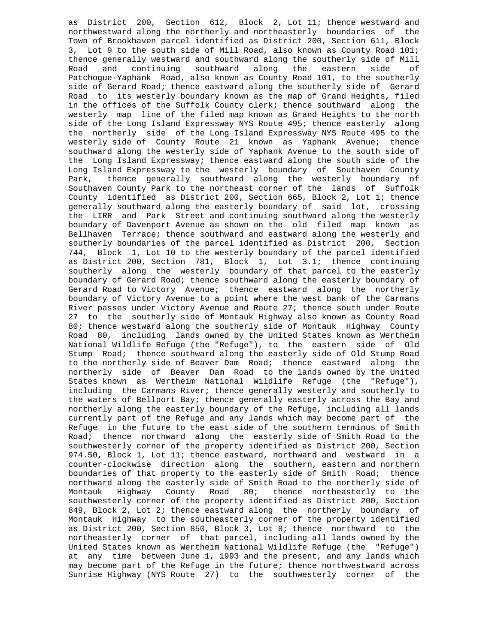as District 200, Section 612, Block 2, Lot 11; thence westward and northwestward along the northerly and northeasterly boundaries of the Town of Brookhaven parcel identified as District 200, Section 611, Block 3, Lot 9 to the south side of Mill Road, also known as County Road 101; thence generally westward and southward along the southerly side of Mill<br>Road and continuing southward along the eastern side of and continuing southward along the Patchogue-Yaphank Road, also known as County Road 101, to the southerly side of Gerard Road; thence eastward along the southerly side of Gerard Road to its westerly boundary known as the map of Grand Heights, filed in the offices of the Suffolk County clerk; thence southward along the westerly map line of the filed map known as Grand Heights to the north side of the Long Island Expressway NYS Route 495; thence easterly along the northerly side of the Long Island Expressway NYS Route 495 to the westerly side of County Route 21 known as Yaphank Avenue; thence southward along the westerly side of Yaphank Avenue to the south side of the Long Island Expressway; thence eastward along the south side of the Long Island Expressway to the westerly boundary of Southaven County Park, thence generally southward along the westerly boundary of Southaven County Park to the northeast corner of the lands of Suffolk County identified as District 200, Section 665, Block 2, Lot 1; thence generally southward along the easterly boundary of said lot, crossing the LIRR and Park Street and continuing southward along the westerly boundary of Davenport Avenue as shown on the old filed map known as Bellhaven Terrace; thence southward and eastward along the westerly and southerly boundaries of the parcel identified as District 200, Section 744, Block 1, Lot 10 to the westerly boundary of the parcel identified as District 200, Section 781, Block 1, Lot 3.1; thence continuing southerly along the westerly boundary of that parcel to the easterly boundary of Gerard Road; thence southward along the easterly boundary of Gerard Road to Victory Avenue; thence eastward along the northerly boundary of Victory Avenue to a point where the west bank of the Carmans River passes under Victory Avenue and Route 27; thence south under Route 27 to the southerly side of Montauk Highway also known as County Road 80; thence westward along the southerly side of Montauk Highway County Road 80, including lands owned by the United States known as Wertheim National Wildlife Refuge (the "Refuge"), to the eastern side of Old Stump Road; thence southward along the easterly side of Old Stump Road to the northerly side of Beaver Dam Road; thence eastward along the northerly side of Beaver Dam Road to the lands owned by the United States known as Wertheim National Wildlife Refuge (the "Refuge"), including the Carmans River; thence generally westerly and southerly to the waters of Bellport Bay; thence generally easterly across the Bay and northerly along the easterly boundary of the Refuge, including all lands currently part of the Refuge and any lands which may become part of the Refuge in the future to the east side of the southern terminus of Smith Road; thence northward along the easterly side of Smith Road to the southwesterly corner of the property identified as District 200, Section 974.50, Block 1, Lot 11; thence eastward, northward and westward in a counter-clockwise direction along the southern, eastern and northern boundaries of that property to the easterly side of Smith Road; thence northward along the easterly side of Smith Road to the northerly side of Montauk Highway County Road 80; thence northeasterly to the Montauk Highway County Road 80; thence northeasterly to the southwesterly corner of the property identified as District 200, Section 849, Block 2, Lot 2; thence eastward along the northerly boundary of Montauk Highway to the southeasterly corner of the property identified as District 200, Section 850, Block 3, Lot 8; thence northward to the northeasterly corner of that parcel, including all lands owned by the United States known as Wertheim National Wildlife Refuge (the "Refuge") at any time between June 1, 1993 and the present, and any lands which may become part of the Refuge in the future; thence northwestward across Sunrise Highway (NYS Route 27) to the southwesterly corner of the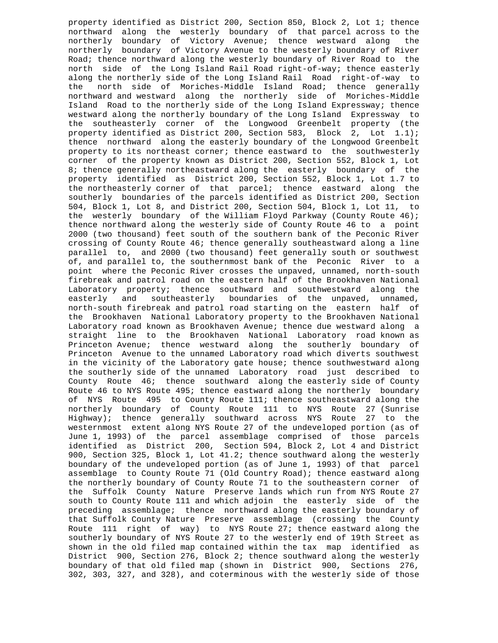property identified as District 200, Section 850, Block 2, Lot 1; thence northward along the westerly boundary of that parcel across to the northerly boundary of Victory Avenue; thence westward along the northerly boundary of Victory Avenue to the westerly boundary of River Road; thence northward along the westerly boundary of River Road to the north side of the Long Island Rail Road right-of-way; thence easterly along the northerly side of the Long Island Rail Road right-of-way to the north side of Moriches-Middle Island Road; thence generally northward and westward along the northerly side of Moriches-Middle Island Road to the northerly side of the Long Island Expressway; thence westward along the northerly boundary of the Long Island Expressway to the southeasterly corner of the Longwood Greenbelt property (the property identified as District 200, Section 583, Block 2, Lot 1.1); thence northward along the easterly boundary of the Longwood Greenbelt property to its northeast corner; thence eastward to the southwesterly corner of the property known as District 200, Section 552, Block 1, Lot 8; thence generally northeastward along the easterly boundary of the property identified as District 200, Section 552, Block 1, Lot 1.7 to the northeasterly corner of that parcel; thence eastward along the southerly boundaries of the parcels identified as District 200, Section 504, Block 1, Lot 8, and District 200, Section 504, Block 1, Lot 11, to the westerly boundary of the William Floyd Parkway (County Route 46); thence northward along the westerly side of County Route 46 to a point 2000 (two thousand) feet south of the southern bank of the Peconic River crossing of County Route 46; thence generally southeastward along a line parallel to, and 2000 (two thousand) feet generally south or southwest of, and parallel to, the southernmost bank of the Peconic River to a point where the Peconic River crosses the unpaved, unnamed, north-south firebreak and patrol road on the eastern half of the Brookhaven National Laboratory property; thence southward and southwestward along the easterly and southeasterly boundaries of the unpaved, unnamed, north-south firebreak and patrol road starting on the eastern half of the Brookhaven National Laboratory property to the Brookhaven National Laboratory road known as Brookhaven Avenue; thence due westward along a straight line to the Brookhaven National Laboratory road known as Princeton Avenue; thence westward along the southerly boundary of Princeton Avenue to the unnamed Laboratory road which diverts southwest in the vicinity of the Laboratory gate house; thence southwestward along the southerly side of the unnamed Laboratory road just described to County Route 46; thence southward along the easterly side of County Route 46 to NYS Route 495; thence eastward along the northerly boundary of NYS Route 495 to County Route 111; thence southeastward along the northerly boundary of County Route 111 to NYS Route 27 (Sunrise Highway); thence generally southward across NYS Route 27 to the westernmost extent along NYS Route 27 of the undeveloped portion (as of June 1, 1993) of the parcel assemblage comprised of those parcels identified as District 200, Section 594, Block 2, Lot 4 and District 900, Section 325, Block 1, Lot 41.2; thence southward along the westerly boundary of the undeveloped portion (as of June 1, 1993) of that parcel assemblage to County Route 71 (Old Country Road); thence eastward along the northerly boundary of County Route 71 to the southeastern corner of the Suffolk County Nature Preserve lands which run from NYS Route 27 south to County Route 111 and which adjoin the easterly side of the preceding assemblage; thence northward along the easterly boundary of that Suffolk County Nature Preserve assemblage (crossing the County Route 111 right of way) to NYS Route 27; thence eastward along the southerly boundary of NYS Route 27 to the westerly end of 19th Street as shown in the old filed map contained within the tax map identified as District 900, Section 276, Block 2; thence southward along the westerly boundary of that old filed map (shown in District 900, Sections 276, 302, 303, 327, and 328), and coterminous with the westerly side of those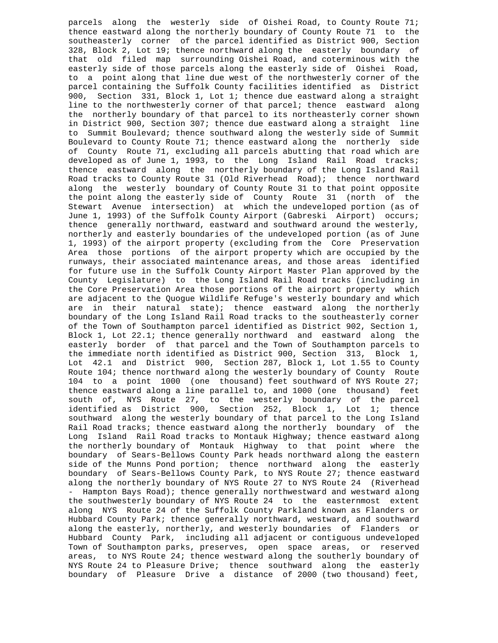parcels along the westerly side of Oishei Road, to County Route 71; thence eastward along the northerly boundary of County Route 71 to the southeasterly corner of the parcel identified as District 900, Section 328, Block 2, Lot 19; thence northward along the easterly boundary of that old filed map surrounding Oishei Road, and coterminous with the easterly side of those parcels along the easterly side of Oishei Road, to a point along that line due west of the northwesterly corner of the parcel containing the Suffolk County facilities identified as District 900, Section 331, Block 1, Lot 1; thence due eastward along a straight line to the northwesterly corner of that parcel; thence eastward along the northerly boundary of that parcel to its northeasterly corner shown in District 900, Section 307; thence due eastward along a straight line to Summit Boulevard; thence southward along the westerly side of Summit Boulevard to County Route 71; thence eastward along the northerly side of County Route 71, excluding all parcels abutting that road which are developed as of June 1, 1993, to the Long Island Rail Road tracks; thence eastward along the northerly boundary of the Long Island Rail Road tracks to County Route 31 (Old Riverhead Road); thence northward along the westerly boundary of County Route 31 to that point opposite the point along the easterly side of County Route 31 (north of the Stewart Avenue intersection) at which the undeveloped portion (as of June 1, 1993) of the Suffolk County Airport (Gabreski Airport) occurs; thence generally northward, eastward and southward around the westerly, northerly and easterly boundaries of the undeveloped portion (as of June 1, 1993) of the airport property (excluding from the Core Preservation Area those portions of the airport property which are occupied by the runways, their associated maintenance areas, and those areas identified for future use in the Suffolk County Airport Master Plan approved by the County Legislature) to the Long Island Rail Road tracks (including in the Core Preservation Area those portions of the airport property which are adjacent to the Quogue Wildlife Refuge's westerly boundary and which are in their natural state); thence eastward along the northerly boundary of the Long Island Rail Road tracks to the southeasterly corner of the Town of Southampton parcel identified as District 902, Section 1, Block 1, Lot 22.1; thence generally northward and eastward along the easterly border of that parcel and the Town of Southampton parcels to the immediate north identified as District 900, Section 313, Block 1, Lot 42.1 and District 900, Section 287, Block 1, Lot 1.55 to County Route 104; thence northward along the westerly boundary of County Route 104 to a point 1000 (one thousand) feet southward of NYS Route 27; thence eastward along a line parallel to, and 1000 (one thousand) feet south of, NYS Route 27, to the westerly boundary of the parcel identified as District 900, Section 252, Block 1, Lot 1; thence southward along the westerly boundary of that parcel to the Long Island Rail Road tracks; thence eastward along the northerly boundary of the Long Island Rail Road tracks to Montauk Highway; thence eastward along the northerly boundary of Montauk Highway to that point where the boundary of Sears-Bellows County Park heads northward along the eastern side of the Munns Pond portion; thence northward along the easterly boundary of Sears-Bellows County Park, to NYS Route 27; thence eastward along the northerly boundary of NYS Route 27 to NYS Route 24 (Riverhead - Hampton Bays Road); thence generally northwestward and westward along the southwesterly boundary of NYS Route 24 to the easternmost extent along NYS Route 24 of the Suffolk County Parkland known as Flanders or Hubbard County Park; thence generally northward, westward, and southward along the easterly, northerly, and westerly boundaries of Flanders or Hubbard County Park, including all adjacent or contiguous undeveloped Town of Southampton parks, preserves, open space areas, or reserved areas, to NYS Route 24; thence westward along the southerly boundary of NYS Route 24 to Pleasure Drive; thence southward along the easterly boundary of Pleasure Drive a distance of 2000 (two thousand) feet,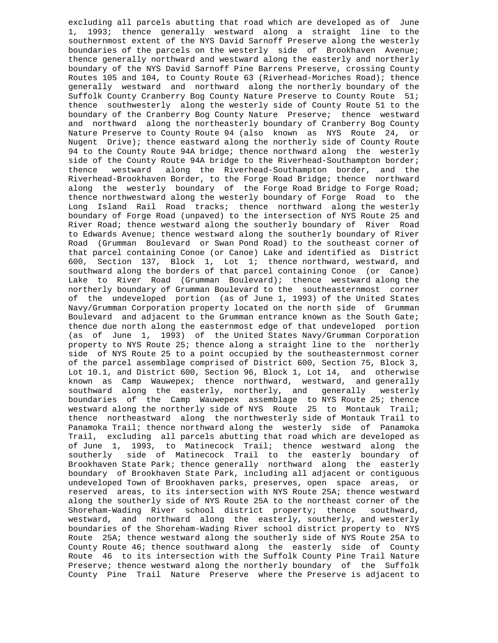excluding all parcels abutting that road which are developed as of June 1, 1993; thence generally westward along a straight line to the southernmost extent of the NYS David Sarnoff Preserve along the westerly boundaries of the parcels on the westerly side of Brookhaven Avenue; thence generally northward and westward along the easterly and northerly boundary of the NYS David Sarnoff Pine Barrens Preserve, crossing County Routes 105 and 104, to County Route 63 (Riverhead-Moriches Road); thence generally westward and northward along the northerly boundary of the Suffolk County Cranberry Bog County Nature Preserve to County Route 51; thence southwesterly along the westerly side of County Route 51 to the boundary of the Cranberry Bog County Nature Preserve; thence westward and northward along the northeasterly boundary of Cranberry Bog County Nature Preserve to County Route 94 (also known as NYS Route 24, or Nugent Drive); thence eastward along the northerly side of County Route 94 to the County Route 94A bridge; thence northward along the westerly side of the County Route 94A bridge to the Riverhead-Southampton border;<br>thence westward along the Riverhead-Southampton border, and the along the Riverhead-Southampton border, and the Riverhead-Brookhaven Border, to the Forge Road Bridge; thence northward along the westerly boundary of the Forge Road Bridge to Forge Road; thence northwestward along the westerly boundary of Forge Road to the Long Island Rail Road tracks; thence northward along the westerly boundary of Forge Road (unpaved) to the intersection of NYS Route 25 and River Road; thence westward along the southerly boundary of River Road to Edwards Avenue; thence westward along the southerly boundary of River Road (Grumman Boulevard or Swan Pond Road) to the southeast corner of that parcel containing Conoe (or Canoe) Lake and identified as District 600, Section 137, Block 1, Lot 1; thence northward, westward, and southward along the borders of that parcel containing Conoe (or Canoe) Lake to River Road (Grumman Boulevard); thence westward along the northerly boundary of Grumman Boulevard to the southeasternmost corner of the undeveloped portion (as of June 1, 1993) of the United States Navy/Grumman Corporation property located on the north side of Grumman Boulevard and adjacent to the Grumman entrance known as the South Gate; thence due north along the easternmost edge of that undeveloped portion (as of June 1, 1993) of the United States Navy/Grumman Corporation property to NYS Route 25; thence along a straight line to the northerly side of NYS Route 25 to a point occupied by the southeasternmost corner of the parcel assemblage comprised of District 600, Section 75, Block 3, Lot 10.1, and District 600, Section 96, Block 1, Lot 14, and otherwise known as Camp Wauwepex; thence northward, westward, and generally southward along the easterly, northerly, and generally westerly boundaries of the Camp Wauwepex assemblage to NYS Route 25; thence westward along the northerly side of NYS Route 25 to Montauk Trail; thence northeastward along the northwesterly side of Montauk Trail to Panamoka Trail; thence northward along the westerly side of Panamoka Trail, excluding all parcels abutting that road which are developed as of June 1, 1993, to Matinecock Trail; thence westward along the southerly side of Matinecock Trail to the easterly boundary of Brookhaven State Park; thence generally northward along the easterly boundary of Brookhaven State Park, including all adjacent or contiguous undeveloped Town of Brookhaven parks, preserves, open space areas, or reserved areas, to its intersection with NYS Route 25A; thence westward along the southerly side of NYS Route 25A to the northeast corner of the Shoreham-Wading River school district property; thence southward, westward, and northward along the easterly, southerly, and westerly boundaries of the Shoreham-Wading River school district property to NYS Route 25A; thence westward along the southerly side of NYS Route 25A to County Route 46; thence southward along the easterly side of County Route 46 to its intersection with the Suffolk County Pine Trail Nature Preserve; thence westward along the northerly boundary of the Suffolk County Pine Trail Nature Preserve where the Preserve is adjacent to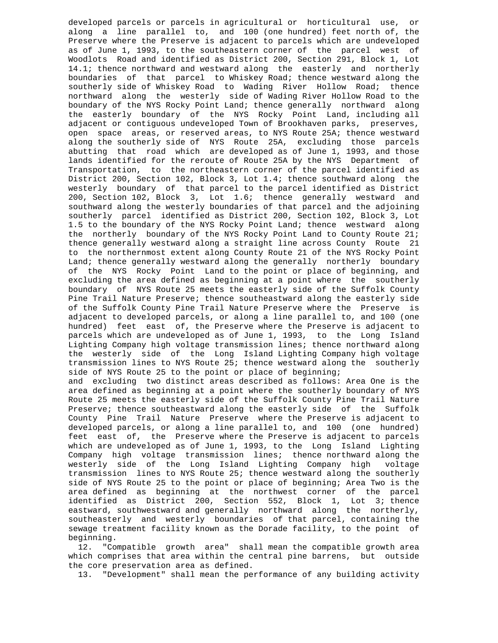developed parcels or parcels in agricultural or horticultural use, or along a line parallel to, and 100 (one hundred) feet north of, the Preserve where the Preserve is adjacent to parcels which are undeveloped as of June 1, 1993, to the southeastern corner of the parcel west of Woodlots Road and identified as District 200, Section 291, Block 1, Lot 14.1; thence northward and westward along the easterly and northerly boundaries of that parcel to Whiskey Road; thence westward along the southerly side of Whiskey Road to Wading River Hollow Road; thence northward along the westerly side of Wading River Hollow Road to the boundary of the NYS Rocky Point Land; thence generally northward along the easterly boundary of the NYS Rocky Point Land, including all adjacent or contiguous undeveloped Town of Brookhaven parks, preserves, open space areas, or reserved areas, to NYS Route 25A; thence westward along the southerly side of NYS Route 25A, excluding those parcels abutting that road which are developed as of June 1, 1993, and those lands identified for the reroute of Route 25A by the NYS Department of Transportation, to the northeastern corner of the parcel identified as District 200, Section 102, Block 3, Lot 1.4; thence southward along the westerly boundary of that parcel to the parcel identified as District 200, Section 102, Block 3, Lot 1.6; thence generally westward and southward along the westerly boundaries of that parcel and the adjoining southerly parcel identified as District 200, Section 102, Block 3, Lot 1.5 to the boundary of the NYS Rocky Point Land; thence westward along the northerly boundary of the NYS Rocky Point Land to County Route 21; thence generally westward along a straight line across County Route 21 to the northernmost extent along County Route 21 of the NYS Rocky Point Land; thence generally westward along the generally northerly boundary of the NYS Rocky Point Land to the point or place of beginning, and excluding the area defined as beginning at a point where the southerly boundary of NYS Route 25 meets the easterly side of the Suffolk County Pine Trail Nature Preserve; thence southeastward along the easterly side of the Suffolk County Pine Trail Nature Preserve where the Preserve is adjacent to developed parcels, or along a line parallel to, and 100 (one hundred) feet east of, the Preserve where the Preserve is adjacent to parcels which are undeveloped as of June 1, 1993, to the Long Island Lighting Company high voltage transmission lines; thence northward along the westerly side of the Long Island Lighting Company high voltage transmission lines to NYS Route 25; thence westward along the southerly side of NYS Route 25 to the point or place of beginning; and excluding two distinct areas described as follows: Area One is the area defined as beginning at a point where the southerly boundary of NYS

 Route 25 meets the easterly side of the Suffolk County Pine Trail Nature Preserve; thence southeastward along the easterly side of the Suffolk County Pine Trail Nature Preserve where the Preserve is adjacent to developed parcels, or along a line parallel to, and 100 (one hundred) feet east of, the Preserve where the Preserve is adjacent to parcels which are undeveloped as of June 1, 1993, to the Long Island Lighting Company high voltage transmission lines; thence northward along the westerly side of the Long Island Lighting Company high voltage transmission lines to NYS Route 25; thence westward along the southerly side of NYS Route 25 to the point or place of beginning; Area Two is the area defined as beginning at the northwest corner of the parcel identified as District 200, Section 552, Block 1, Lot 3; thence eastward, southwestward and generally northward along the northerly, southeasterly and westerly boundaries of that parcel, containing the sewage treatment facility known as the Dorade facility, to the point of beginning.

 12. "Compatible growth area" shall mean the compatible growth area which comprises that area within the central pine barrens, but outside the core preservation area as defined.

13. "Development" shall mean the performance of any building activity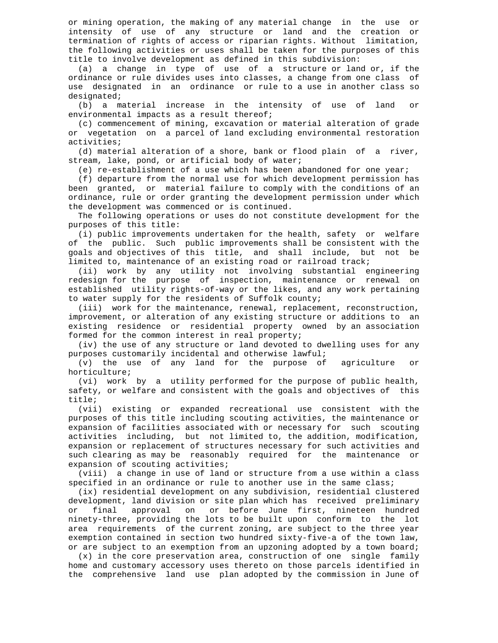or mining operation, the making of any material change in the use or intensity of use of any structure or land and the creation or termination of rights of access or riparian rights. Without limitation, the following activities or uses shall be taken for the purposes of this title to involve development as defined in this subdivision:

 (a) a change in type of use of a structure or land or, if the ordinance or rule divides uses into classes, a change from one class of use designated in an ordinance or rule to a use in another class so designated;

 (b) a material increase in the intensity of use of land or environmental impacts as a result thereof;

 (c) commencement of mining, excavation or material alteration of grade or vegetation on a parcel of land excluding environmental restoration activities;

 (d) material alteration of a shore, bank or flood plain of a river, stream, lake, pond, or artificial body of water;

(e) re-establishment of a use which has been abandoned for one year;

 (f) departure from the normal use for which development permission has been granted, or material failure to comply with the conditions of an ordinance, rule or order granting the development permission under which the development was commenced or is continued.

 The following operations or uses do not constitute development for the purposes of this title:

 (i) public improvements undertaken for the health, safety or welfare of the public. Such public improvements shall be consistent with the goals and objectives of this title, and shall include, but not be limited to, maintenance of an existing road or railroad track;

 (ii) work by any utility not involving substantial engineering redesign for the purpose of inspection, maintenance or renewal on established utility rights-of-way or the likes, and any work pertaining to water supply for the residents of Suffolk county;

 (iii) work for the maintenance, renewal, replacement, reconstruction, improvement, or alteration of any existing structure or additions to an existing residence or residential property owned by an association formed for the common interest in real property;

 (iv) the use of any structure or land devoted to dwelling uses for any purposes customarily incidental and otherwise lawful;

 (v) the use of any land for the purpose of agriculture or horticulture;

 (vi) work by a utility performed for the purpose of public health, safety, or welfare and consistent with the goals and objectives of this title;

 (vii) existing or expanded recreational use consistent with the purposes of this title including scouting activities, the maintenance or expansion of facilities associated with or necessary for such scouting activities including, but not limited to, the addition, modification, expansion or replacement of structures necessary for such activities and such clearing as may be reasonably required for the maintenance or expansion of scouting activities;

 (viii) a change in use of land or structure from a use within a class specified in an ordinance or rule to another use in the same class;

 (ix) residential development on any subdivision, residential clustered development, land division or site plan which has received preliminary<br>or final approval on or before June first, nineteen hundred or final approval on or before June first, nineteen hundred ninety-three, providing the lots to be built upon conform to the lot area requirements of the current zoning, are subject to the three year exemption contained in section two hundred sixty-five-a of the town law, or are subject to an exemption from an upzoning adopted by a town board;

 (x) in the core preservation area, construction of one single family home and customary accessory uses thereto on those parcels identified in the comprehensive land use plan adopted by the commission in June of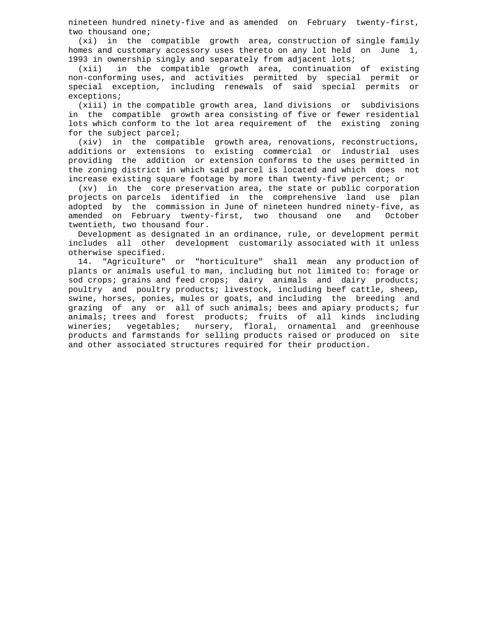nineteen hundred ninety-five and as amended on February twenty-first, two thousand one;

 (xi) in the compatible growth area, construction of single family homes and customary accessory uses thereto on any lot held on June 1, 1993 in ownership singly and separately from adjacent lots;

in the compatible growth area, continuation of existing non-conforming uses, and activities permitted by special permit or special exception, including renewals of said special permits or exceptions;

 (xiii) in the compatible growth area, land divisions or subdivisions in the compatible growth area consisting of five or fewer residential lots which conform to the lot area requirement of the existing zoning for the subject parcel;

 (xiv) in the compatible growth area, renovations, reconstructions, additions or extensions to existing commercial or industrial uses providing the addition or extension conforms to the uses permitted in the zoning district in which said parcel is located and which does not increase existing square footage by more than twenty-five percent; or

 (xv) in the core preservation area, the state or public corporation projects on parcels identified in the comprehensive land use plan adopted by the commission in June of nineteen hundred ninety-five, as amended on February twenty-first, two thousand one and October twentieth, two thousand four.

 Development as designated in an ordinance, rule, or development permit includes all other development customarily associated with it unless otherwise specified.

 14. "Agriculture" or "horticulture" shall mean any production of plants or animals useful to man, including but not limited to: forage or sod crops; grains and feed crops; dairy animals and dairy products; poultry and poultry products; livestock, including beef cattle, sheep, swine, horses, ponies, mules or goats, and including the breeding and grazing of any or all of such animals; bees and apiary products; fur animals; trees and forest products; fruits of all kinds including wineries; vegetables; nursery, floral, ornamental and greenhouse products and farmstands for selling products raised or produced on site and other associated structures required for their production.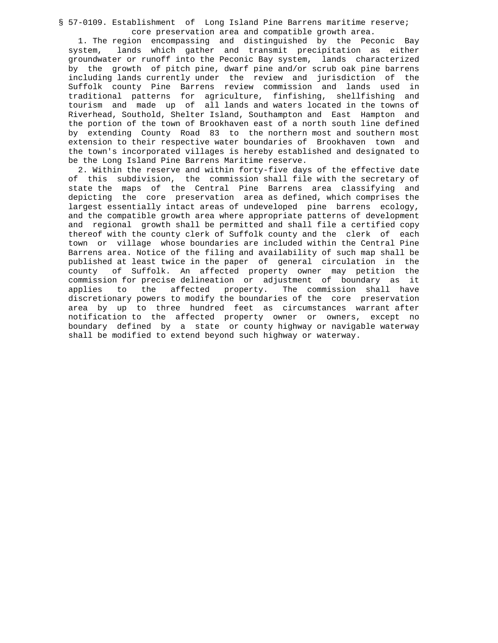§ 57-0109. Establishment of Long Island Pine Barrens maritime reserve; core preservation area and compatible growth area.

 1. The region encompassing and distinguished by the Peconic Bay system, lands which gather and transmit precipitation as either groundwater or runoff into the Peconic Bay system, lands characterized by the growth of pitch pine, dwarf pine and/or scrub oak pine barrens including lands currently under the review and jurisdiction of the Suffolk county Pine Barrens review commission and lands used in traditional patterns for agriculture, finfishing, shellfishing and tourism and made up of all lands and waters located in the towns of Riverhead, Southold, Shelter Island, Southampton and East Hampton and the portion of the town of Brookhaven east of a north south line defined by extending County Road 83 to the northern most and southern most extension to their respective water boundaries of Brookhaven town and the town's incorporated villages is hereby established and designated to be the Long Island Pine Barrens Maritime reserve.

 2. Within the reserve and within forty-five days of the effective date of this subdivision, the commission shall file with the secretary of state the maps of the Central Pine Barrens area classifying and depicting the core preservation area as defined, which comprises the largest essentially intact areas of undeveloped pine barrens ecology, and the compatible growth area where appropriate patterns of development and regional growth shall be permitted and shall file a certified copy thereof with the county clerk of Suffolk county and the clerk of each town or village whose boundaries are included within the Central Pine Barrens area. Notice of the filing and availability of such map shall be published at least twice in the paper of general circulation in the county of Suffolk. An affected property owner may petition the commission for precise delineation or adjustment of boundary as it applies to the affected property. The commission shall have discretionary powers to modify the boundaries of the core preservation area by up to three hundred feet as circumstances warrant after notification to the affected property owner or owners, except no boundary defined by a state or county highway or navigable waterway shall be modified to extend beyond such highway or waterway.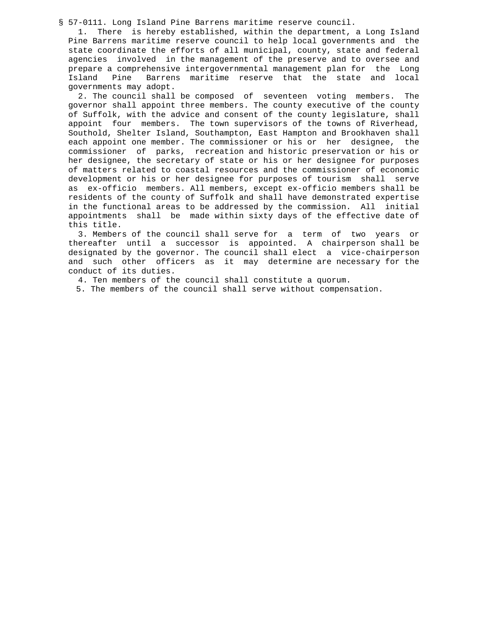§ 57-0111. Long Island Pine Barrens maritime reserve council.

 1. There is hereby established, within the department, a Long Island Pine Barrens maritime reserve council to help local governments and the state coordinate the efforts of all municipal, county, state and federal agencies involved in the management of the preserve and to oversee and prepare a comprehensive intergovernmental management plan for the Long Pine Barrens maritime reserve that the state and local governments may adopt.

 2. The council shall be composed of seventeen voting members. The governor shall appoint three members. The county executive of the county of Suffolk, with the advice and consent of the county legislature, shall appoint four members. The town supervisors of the towns of Riverhead, Southold, Shelter Island, Southampton, East Hampton and Brookhaven shall each appoint one member. The commissioner or his or her designee, the commissioner of parks, recreation and historic preservation or his or her designee, the secretary of state or his or her designee for purposes of matters related to coastal resources and the commissioner of economic development or his or her designee for purposes of tourism shall serve as ex-officio members. All members, except ex-officio members shall be residents of the county of Suffolk and shall have demonstrated expertise in the functional areas to be addressed by the commission. All initial appointments shall be made within sixty days of the effective date of this title.

 3. Members of the council shall serve for a term of two years or thereafter until a successor is appointed. A chairperson shall be designated by the governor. The council shall elect a vice-chairperson and such other officers as it may determine are necessary for the conduct of its duties.

4. Ten members of the council shall constitute a quorum.

5. The members of the council shall serve without compensation.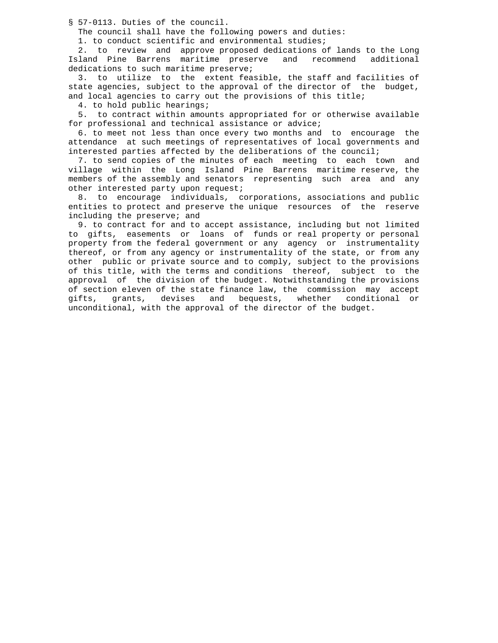§ 57-0113. Duties of the council.

The council shall have the following powers and duties:

1. to conduct scientific and environmental studies;

 2. to review and approve proposed dedications of lands to the Long Island Pine Barrens maritime preserve and recommend additional dedications to such maritime preserve;

 3. to utilize to the extent feasible, the staff and facilities of state agencies, subject to the approval of the director of the budget, and local agencies to carry out the provisions of this title;

4. to hold public hearings;

 5. to contract within amounts appropriated for or otherwise available for professional and technical assistance or advice;

 6. to meet not less than once every two months and to encourage the attendance at such meetings of representatives of local governments and interested parties affected by the deliberations of the council;

 7. to send copies of the minutes of each meeting to each town and village within the Long Island Pine Barrens maritime reserve, the members of the assembly and senators representing such area and any other interested party upon request;

 8. to encourage individuals, corporations, associations and public entities to protect and preserve the unique resources of the reserve including the preserve; and

 9. to contract for and to accept assistance, including but not limited to gifts, easements or loans of funds or real property or personal property from the federal government or any agency or instrumentality thereof, or from any agency or instrumentality of the state, or from any other public or private source and to comply, subject to the provisions of this title, with the terms and conditions thereof, subject to the approval of the division of the budget. Notwithstanding the provisions of section eleven of the state finance law, the commission may accept gifts, grants, devises and bequests, whether conditional or unconditional, with the approval of the director of the budget.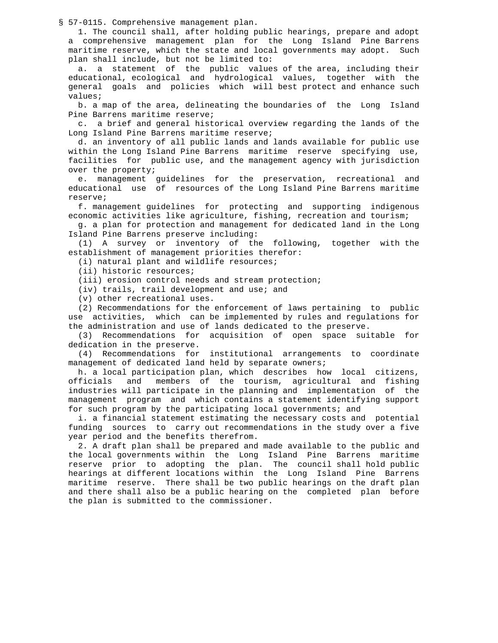§ 57-0115. Comprehensive management plan.

 1. The council shall, after holding public hearings, prepare and adopt a comprehensive management plan for the Long Island Pine Barrens maritime reserve, which the state and local governments may adopt. Such plan shall include, but not be limited to:

 a. a statement of the public values of the area, including their educational, ecological and hydrological values, together with the general goals and policies which will best protect and enhance such values;

 b. a map of the area, delineating the boundaries of the Long Island Pine Barrens maritime reserve;

 c. a brief and general historical overview regarding the lands of the Long Island Pine Barrens maritime reserve;

 d. an inventory of all public lands and lands available for public use within the Long Island Pine Barrens maritime reserve specifying use, facilities for public use, and the management agency with jurisdiction over the property;

 e. management guidelines for the preservation, recreational and educational use of resources of the Long Island Pine Barrens maritime reserve;

 f. management guidelines for protecting and supporting indigenous economic activities like agriculture, fishing, recreation and tourism;

 g. a plan for protection and management for dedicated land in the Long Island Pine Barrens preserve including:

 (1) A survey or inventory of the following, together with the establishment of management priorities therefor:

(i) natural plant and wildlife resources;

(ii) historic resources;

(iii) erosion control needs and stream protection;

(iv) trails, trail development and use; and

(v) other recreational uses.

 (2) Recommendations for the enforcement of laws pertaining to public use activities, which can be implemented by rules and regulations for the administration and use of lands dedicated to the preserve.

 (3) Recommendations for acquisition of open space suitable for dedication in the preserve.

 (4) Recommendations for institutional arrangements to coordinate management of dedicated land held by separate owners;

 h. a local participation plan, which describes how local citizens, officials and members of the tourism, agricultural and fishing industries will participate in the planning and implementation of the management program and which contains a statement identifying support for such program by the participating local governments; and

 i. a financial statement estimating the necessary costs and potential funding sources to carry out recommendations in the study over a five year period and the benefits therefrom.

 2. A draft plan shall be prepared and made available to the public and the local governments within the Long Island Pine Barrens maritime reserve prior to adopting the plan. The council shall hold public hearings at different locations within the Long Island Pine Barrens maritime reserve. There shall be two public hearings on the draft plan and there shall also be a public hearing on the completed plan before the plan is submitted to the commissioner.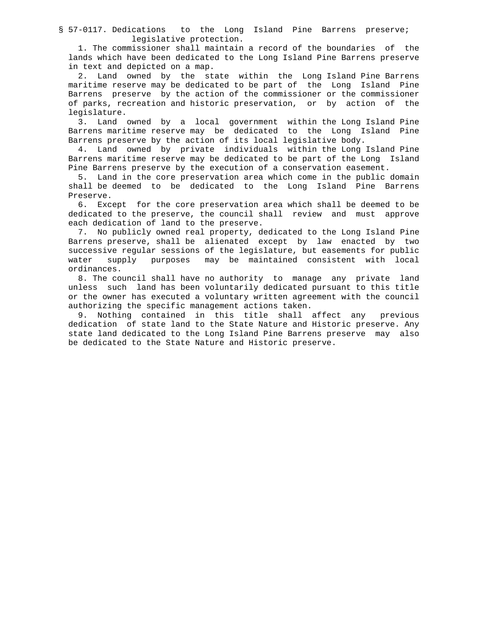§ 57-0117. Dedications to the Long Island Pine Barrens preserve; legislative protection.

 1. The commissioner shall maintain a record of the boundaries of the lands which have been dedicated to the Long Island Pine Barrens preserve in text and depicted on a map.

 2. Land owned by the state within the Long Island Pine Barrens maritime reserve may be dedicated to be part of the Long Island Pine Barrens preserve by the action of the commissioner or the commissioner of parks, recreation and historic preservation, or by action of the legislature.

 3. Land owned by a local government within the Long Island Pine Barrens maritime reserve may be dedicated to the Long Island Pine Barrens preserve by the action of its local legislative body.

 4. Land owned by private individuals within the Long Island Pine Barrens maritime reserve may be dedicated to be part of the Long Island Pine Barrens preserve by the execution of a conservation easement.

 5. Land in the core preservation area which come in the public domain shall be deemed to be dedicated to the Long Island Pine Barrens Preserve.

 6. Except for the core preservation area which shall be deemed to be dedicated to the preserve, the council shall review and must approve each dedication of land to the preserve.

 7. No publicly owned real property, dedicated to the Long Island Pine Barrens preserve, shall be alienated except by law enacted by two successive regular sessions of the legislature, but easements for public water supply purposes may be maintained consistent with local ordinances.

 8. The council shall have no authority to manage any private land unless such land has been voluntarily dedicated pursuant to this title or the owner has executed a voluntary written agreement with the council authorizing the specific management actions taken.

 9. Nothing contained in this title shall affect any previous dedication of state land to the State Nature and Historic preserve. Any state land dedicated to the Long Island Pine Barrens preserve may also be dedicated to the State Nature and Historic preserve.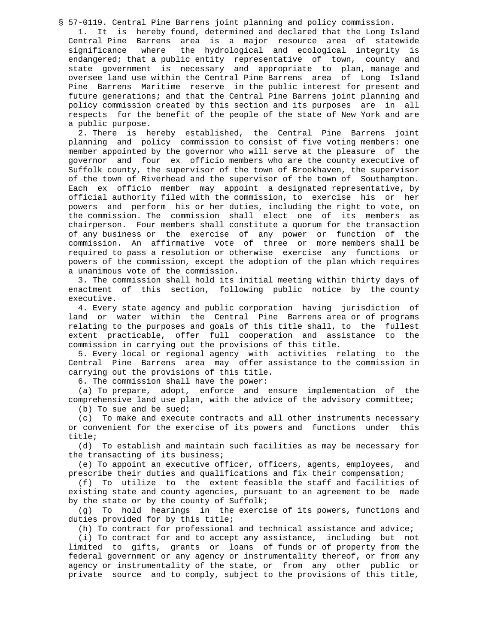§ 57-0119. Central Pine Barrens joint planning and policy commission.

 1. It is hereby found, determined and declared that the Long Island Central Pine Barrens area is a major resource area of statewide significance where the hydrological and ecological integrity is endangered; that a public entity representative of town, county and state government is necessary and appropriate to plan, manage and oversee land use within the Central Pine Barrens area of Long Island Pine Barrens Maritime reserve in the public interest for present and future generations; and that the Central Pine Barrens joint planning and policy commission created by this section and its purposes are in all respects for the benefit of the people of the state of New York and are a public purpose.

 2. There is hereby established, the Central Pine Barrens joint planning and policy commission to consist of five voting members: one member appointed by the governor who will serve at the pleasure of the governor and four ex officio members who are the county executive of Suffolk county, the supervisor of the town of Brookhaven, the supervisor of the town of Riverhead and the supervisor of the town of Southampton. Each ex officio member may appoint a designated representative, by official authority filed with the commission, to exercise his or her powers and perform his or her duties, including the right to vote, on the commission. The commission shall elect one of its members as chairperson. Four members shall constitute a quorum for the transaction of any business or the exercise of any power or function of the commission. An affirmative vote of three or more members shall be required to pass a resolution or otherwise exercise any functions or powers of the commission, except the adoption of the plan which requires a unanimous vote of the commission.

 3. The commission shall hold its initial meeting within thirty days of enactment of this section, following public notice by the county executive.

 4. Every state agency and public corporation having jurisdiction of land or water within the Central Pine Barrens area or of programs relating to the purposes and goals of this title shall, to the fullest extent practicable, offer full cooperation and assistance to the commission in carrying out the provisions of this title.

 5. Every local or regional agency with activities relating to the Central Pine Barrens area may offer assistance to the commission in carrying out the provisions of this title.

6. The commission shall have the power:

 (a) To prepare, adopt, enforce and ensure implementation of the comprehensive land use plan, with the advice of the advisory committee; (b) To sue and be sued;

 (c) To make and execute contracts and all other instruments necessary or convenient for the exercise of its powers and functions under this title;

 (d) To establish and maintain such facilities as may be necessary for the transacting of its business;

 (e) To appoint an executive officer, officers, agents, employees, and prescribe their duties and qualifications and fix their compensation;

 (f) To utilize to the extent feasible the staff and facilities of existing state and county agencies, pursuant to an agreement to be made by the state or by the county of Suffolk;

 (g) To hold hearings in the exercise of its powers, functions and duties provided for by this title;

(h) To contract for professional and technical assistance and advice;

 (i) To contract for and to accept any assistance, including but not limited to gifts, grants or loans of funds or of property from the federal government or any agency or instrumentality thereof, or from any agency or instrumentality of the state, or from any other public or private source and to comply, subject to the provisions of this title,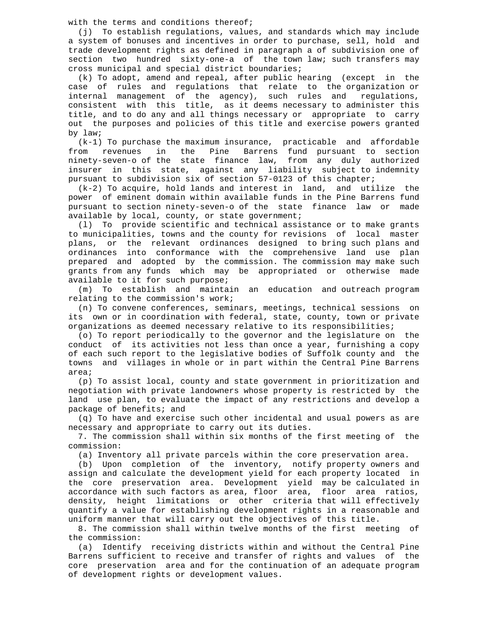with the terms and conditions thereof;

 (j) To establish regulations, values, and standards which may include a system of bonuses and incentives in order to purchase, sell, hold and trade development rights as defined in paragraph a of subdivision one of section two hundred sixty-one-a of the town law; such transfers may cross municipal and special district boundaries;

 (k) To adopt, amend and repeal, after public hearing (except in the case of rules and regulations that relate to the organization or internal management of the agency), such rules and regulations, consistent with this title, as it deems necessary to administer this title, and to do any and all things necessary or appropriate to carry out the purposes and policies of this title and exercise powers granted by law;

 (k-1) To purchase the maximum insurance, practicable and affordable from revenues in the Pine Barrens fund pursuant to section ninety-seven-o of the state finance law, from any duly authorized insurer in this state, against any liability subject to indemnity pursuant to subdivision six of section 57-0123 of this chapter;

 (k-2) To acquire, hold lands and interest in land, and utilize the power of eminent domain within available funds in the Pine Barrens fund pursuant to section ninety-seven-o of the state finance law or made available by local, county, or state government;

 (l) To provide scientific and technical assistance or to make grants to municipalities, towns and the county for revisions of local master plans, or the relevant ordinances designed to bring such plans and ordinances into conformance with the comprehensive land use plan prepared and adopted by the commission. The commission may make such grants from any funds which may be appropriated or otherwise made available to it for such purpose;

 (m) To establish and maintain an education and outreach program relating to the commission's work;

 (n) To convene conferences, seminars, meetings, technical sessions on its own or in coordination with federal, state, county, town or private organizations as deemed necessary relative to its responsibilities;

 (o) To report periodically to the governor and the legislature on the conduct of its activities not less than once a year, furnishing a copy of each such report to the legislative bodies of Suffolk county and the towns and villages in whole or in part within the Central Pine Barrens area;

 (p) To assist local, county and state government in prioritization and negotiation with private landowners whose property is restricted by the land use plan, to evaluate the impact of any restrictions and develop a package of benefits; and

 (q) To have and exercise such other incidental and usual powers as are necessary and appropriate to carry out its duties.

 7. The commission shall within six months of the first meeting of the commission:

(a) Inventory all private parcels within the core preservation area.

 (b) Upon completion of the inventory, notify property owners and assign and calculate the development yield for each property located in the core preservation area. Development yield may be calculated in accordance with such factors as area, floor area, floor area ratios, density, height limitations or other criteria that will effectively quantify a value for establishing development rights in a reasonable and uniform manner that will carry out the objectives of this title.

 8. The commission shall within twelve months of the first meeting of the commission:

 (a) Identify receiving districts within and without the Central Pine Barrens sufficient to receive and transfer of rights and values of the core preservation area and for the continuation of an adequate program of development rights or development values.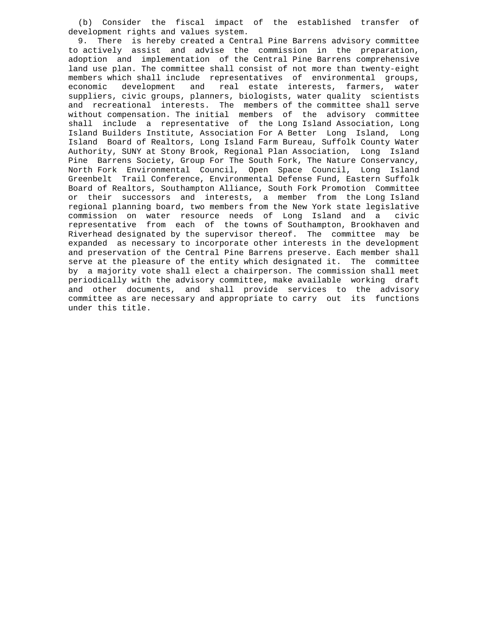(b) Consider the fiscal impact of the established transfer of development rights and values system.

 9. There is hereby created a Central Pine Barrens advisory committee to actively assist and advise the commission in the preparation, adoption and implementation of the Central Pine Barrens comprehensive land use plan. The committee shall consist of not more than twenty-eight members which shall include representatives of environmental groups, economic development and real estate interests, farmers, water suppliers, civic groups, planners, biologists, water quality scientists and recreational interests. The members of the committee shall serve without compensation. The initial members of the advisory committee shall include a representative of the Long Island Association, Long Island Builders Institute, Association For A Better Long Island, Long Island Board of Realtors, Long Island Farm Bureau, Suffolk County Water Authority, SUNY at Stony Brook, Regional Plan Association, Long Island Pine Barrens Society, Group For The South Fork, The Nature Conservancy, North Fork Environmental Council, Open Space Council, Long Island Greenbelt Trail Conference, Environmental Defense Fund, Eastern Suffolk Board of Realtors, Southampton Alliance, South Fork Promotion Committee or their successors and interests, a member from the Long Island regional planning board, two members from the New York state legislative commission on water resource needs of Long Island and a civic representative from each of the towns of Southampton, Brookhaven and Riverhead designated by the supervisor thereof. The committee may be expanded as necessary to incorporate other interests in the development and preservation of the Central Pine Barrens preserve. Each member shall serve at the pleasure of the entity which designated it. The committee by a majority vote shall elect a chairperson. The commission shall meet periodically with the advisory committee, make available working draft and other documents, and shall provide services to the advisory committee as are necessary and appropriate to carry out its functions under this title.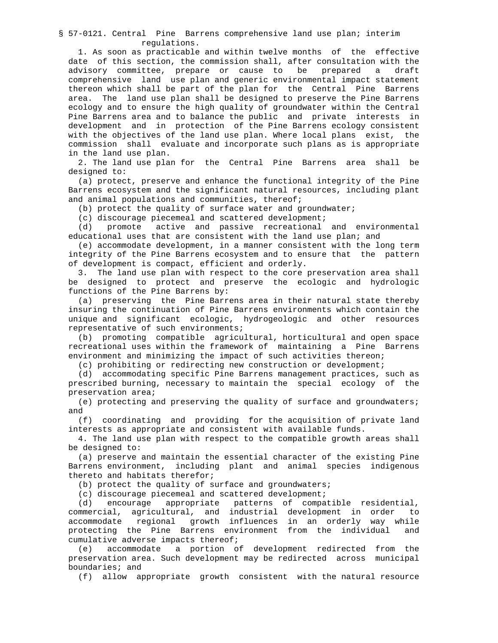§ 57-0121. Central Pine Barrens comprehensive land use plan; interim regulations.

 1. As soon as practicable and within twelve months of the effective date of this section, the commission shall, after consultation with the advisory committee, prepare or cause to be prepared a draft comprehensive land use plan and generic environmental impact statement thereon which shall be part of the plan for the Central Pine Barrens area. The land use plan shall be designed to preserve the Pine Barrens ecology and to ensure the high quality of groundwater within the Central Pine Barrens area and to balance the public and private interests in development and in protection of the Pine Barrens ecology consistent with the objectives of the land use plan. Where local plans exist, the commission shall evaluate and incorporate such plans as is appropriate in the land use plan.

 2. The land use plan for the Central Pine Barrens area shall be designed to:

 (a) protect, preserve and enhance the functional integrity of the Pine Barrens ecosystem and the significant natural resources, including plant and animal populations and communities, thereof;

(b) protect the quality of surface water and groundwater;

(c) discourage piecemeal and scattered development;

 (d) promote active and passive recreational and environmental educational uses that are consistent with the land use plan; and

 (e) accommodate development, in a manner consistent with the long term integrity of the Pine Barrens ecosystem and to ensure that the pattern of development is compact, efficient and orderly.

 3. The land use plan with respect to the core preservation area shall be designed to protect and preserve the ecologic and hydrologic functions of the Pine Barrens by:

 (a) preserving the Pine Barrens area in their natural state thereby insuring the continuation of Pine Barrens environments which contain the unique and significant ecologic, hydrogeologic and other resources representative of such environments;

 (b) promoting compatible agricultural, horticultural and open space recreational uses within the framework of maintaining a Pine Barrens environment and minimizing the impact of such activities thereon;

(c) prohibiting or redirecting new construction or development;

 (d) accommodating specific Pine Barrens management practices, such as prescribed burning, necessary to maintain the special ecology of the preservation area;

 (e) protecting and preserving the quality of surface and groundwaters; and

 (f) coordinating and providing for the acquisition of private land interests as appropriate and consistent with available funds.

 4. The land use plan with respect to the compatible growth areas shall be designed to:

 (a) preserve and maintain the essential character of the existing Pine Barrens environment, including plant and animal species indigenous thereto and habitats therefor;

(b) protect the quality of surface and groundwaters;

(c) discourage piecemeal and scattered development;<br>(d) encourage appropriate patterns of compa

encourage appropriate patterns of compatible residential, commercial, agricultural, and industrial development in order to accommodate regional growth influences in an orderly way while protecting the Pine Barrens environment from the individual and cumulative adverse impacts thereof;

 (e) accommodate a portion of development redirected from the preservation area. Such development may be redirected across municipal boundaries; and

(f) allow appropriate growth consistent with the natural resource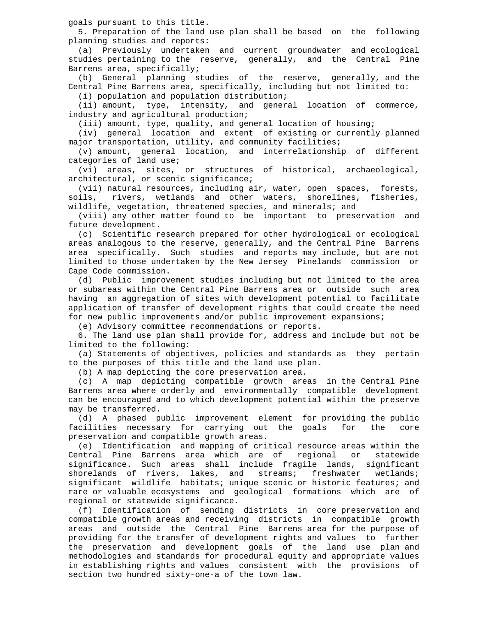goals pursuant to this title.

 5. Preparation of the land use plan shall be based on the following planning studies and reports:

 (a) Previously undertaken and current groundwater and ecological studies pertaining to the reserve, generally, and the Central Pine Barrens area, specifically;

 (b) General planning studies of the reserve, generally, and the Central Pine Barrens area, specifically, including but not limited to:

(i) population and population distribution;

 (ii) amount, type, intensity, and general location of commerce, industry and agricultural production;

(iii) amount, type, quality, and general location of housing;

 (iv) general location and extent of existing or currently planned major transportation, utility, and community facilities;

 (v) amount, general location, and interrelationship of different categories of land use;

 (vi) areas, sites, or structures of historical, archaeological, architectural, or scenic significance;

 (vii) natural resources, including air, water, open spaces, forests, soils, rivers, wetlands and other waters, shorelines, fisheries, wildlife, vegetation, threatened species, and minerals; and

 (viii) any other matter found to be important to preservation and future development.

 (c) Scientific research prepared for other hydrological or ecological areas analogous to the reserve, generally, and the Central Pine Barrens area specifically. Such studies and reports may include, but are not limited to those undertaken by the New Jersey Pinelands commission or Cape Code commission.

 (d) Public improvement studies including but not limited to the area or subareas within the Central Pine Barrens area or outside such area having an aggregation of sites with development potential to facilitate application of transfer of development rights that could create the need for new public improvements and/or public improvement expansions;

(e) Advisory committee recommendations or reports.

 6. The land use plan shall provide for, address and include but not be limited to the following:

 (a) Statements of objectives, policies and standards as they pertain to the purposes of this title and the land use plan.

(b) A map depicting the core preservation area.

 (c) A map depicting compatible growth areas in the Central Pine Barrens area where orderly and environmentally compatible development can be encouraged and to which development potential within the preserve may be transferred.

(d) A phased public improvement element for providing the public<br>cilities necessary for carrying out the goals for the core facilities necessary for carrying out the goals for the core preservation and compatible growth areas.

(e) Identification and mapping of critical resource areas within the<br>ntral Pine Barrens area which are of regional or statewide Central Pine Barrens area which are of regional significance. Such areas shall include fragile lands, significant<br>shorelands of rivers, lakes, and streams; freshwater wetlands; shorelands of rivers, lakes, and streams; significant wildlife habitats; unique scenic or historic features; and rare or valuable ecosystems and geological formations which are of regional or statewide significance.

 (f) Identification of sending districts in core preservation and compatible growth areas and receiving districts in compatible growth areas and outside the Central Pine Barrens area for the purpose of providing for the transfer of development rights and values to further the preservation and development goals of the land use plan and methodologies and standards for procedural equity and appropriate values in establishing rights and values consistent with the provisions of section two hundred sixty-one-a of the town law.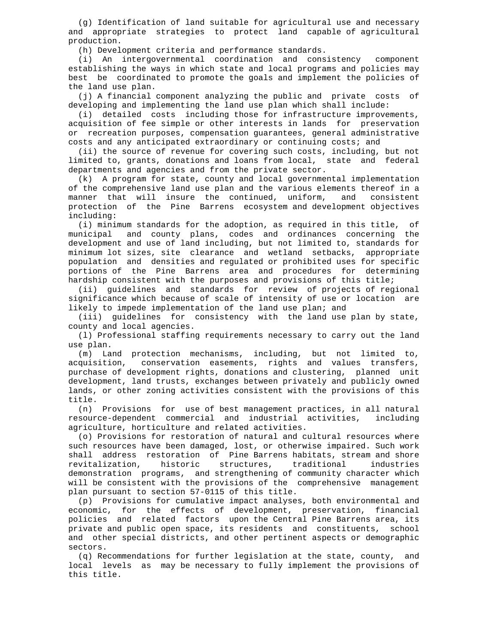(g) Identification of land suitable for agricultural use and necessary and appropriate strategies to protect land capable of agricultural production.

(h) Development criteria and performance standards.

 (i) An intergovernmental coordination and consistency component establishing the ways in which state and local programs and policies may best be coordinated to promote the goals and implement the policies of the land use plan.

 (j) A financial component analyzing the public and private costs of developing and implementing the land use plan which shall include:

 (i) detailed costs including those for infrastructure improvements, acquisition of fee simple or other interests in lands for preservation or recreation purposes, compensation guarantees, general administrative costs and any anticipated extraordinary or continuing costs; and

 (ii) the source of revenue for covering such costs, including, but not limited to, grants, donations and loans from local, state and federal departments and agencies and from the private sector.

 (k) A program for state, county and local governmental implementation of the comprehensive land use plan and the various elements thereof in a<br>manner that will insure the continued, uniform, and consistent manner that will insure the continued, uniform, protection of the Pine Barrens ecosystem and development objectives including:

 (i) minimum standards for the adoption, as required in this title, of municipal and county plans, codes and ordinances concerning the development and use of land including, but not limited to, standards for minimum lot sizes, site clearance and wetland setbacks, appropriate population and densities and regulated or prohibited uses for specific portions of the Pine Barrens area and procedures for determining hardship consistent with the purposes and provisions of this title;

 (ii) guidelines and standards for review of projects of regional significance which because of scale of intensity of use or location are likely to impede implementation of the land use plan; and

 (iii) guidelines for consistency with the land use plan by state, county and local agencies.

 (l) Professional staffing requirements necessary to carry out the land use plan.

 (m) Land protection mechanisms, including, but not limited to, acquisition, conservation easements, rights and values transfers, purchase of development rights, donations and clustering, planned unit development, land trusts, exchanges between privately and publicly owned lands, or other zoning activities consistent with the provisions of this title.

 (n) Provisions for use of best management practices, in all natural resource-dependent commercial and industrial activities, including agriculture, horticulture and related activities.

 (o) Provisions for restoration of natural and cultural resources where such resources have been damaged, lost, or otherwise impaired. Such work shall address restoration of Pine Barrens habitats, stream and shore revitalization, historic structures, traditional industries demonstration programs, and strengthening of community character which will be consistent with the provisions of the comprehensive management plan pursuant to section 57-0115 of this title.

 (p) Provisions for cumulative impact analyses, both environmental and economic, for the effects of development, preservation, financial policies and related factors upon the Central Pine Barrens area, its private and public open space, its residents and constituents, school and other special districts, and other pertinent aspects or demographic sectors.

 (q) Recommendations for further legislation at the state, county, and local levels as may be necessary to fully implement the provisions of this title.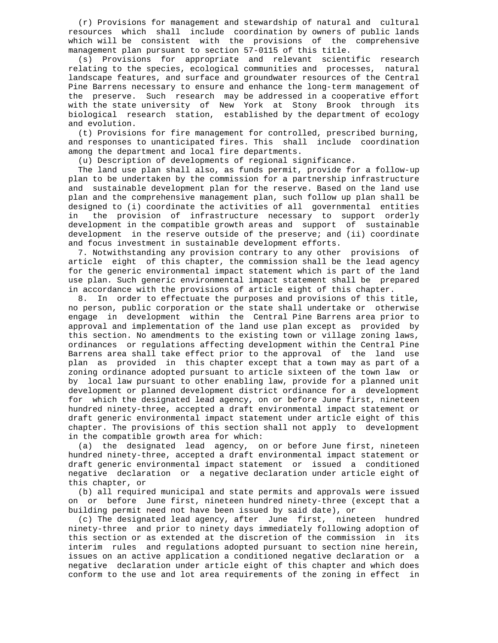(r) Provisions for management and stewardship of natural and cultural resources which shall include coordination by owners of public lands which will be consistent with the provisions of the comprehensive management plan pursuant to section 57-0115 of this title.

 (s) Provisions for appropriate and relevant scientific research relating to the species, ecological communities and processes, natural landscape features, and surface and groundwater resources of the Central Pine Barrens necessary to ensure and enhance the long-term management of the preserve. Such research may be addressed in a cooperative effort with the state university of New York at Stony Brook through its biological research station, established by the department of ecology and evolution.

 (t) Provisions for fire management for controlled, prescribed burning, and responses to unanticipated fires. This shall include coordination among the department and local fire departments.

(u) Description of developments of regional significance.

 The land use plan shall also, as funds permit, provide for a follow-up plan to be undertaken by the commission for a partnership infrastructure and sustainable development plan for the reserve. Based on the land use plan and the comprehensive management plan, such follow up plan shall be designed to (i) coordinate the activities of all governmental entities in the provision of infrastructure necessary to support orderly development in the compatible growth areas and support of sustainable development in the reserve outside of the preserve; and (ii) coordinate and focus investment in sustainable development efforts.

 7. Notwithstanding any provision contrary to any other provisions of article eight of this chapter, the commission shall be the lead agency for the generic environmental impact statement which is part of the land use plan. Such generic environmental impact statement shall be prepared in accordance with the provisions of article eight of this chapter.

 8. In order to effectuate the purposes and provisions of this title, no person, public corporation or the state shall undertake or otherwise engage in development within the Central Pine Barrens area prior to approval and implementation of the land use plan except as provided by this section. No amendments to the existing town or village zoning laws, ordinances or regulations affecting development within the Central Pine Barrens area shall take effect prior to the approval of the land use plan as provided in this chapter except that a town may as part of a zoning ordinance adopted pursuant to article sixteen of the town law or by local law pursuant to other enabling law, provide for a planned unit development or planned development district ordinance for a development for which the designated lead agency, on or before June first, nineteen hundred ninety-three, accepted a draft environmental impact statement or draft generic environmental impact statement under article eight of this chapter. The provisions of this section shall not apply to development in the compatible growth area for which:

 (a) the designated lead agency, on or before June first, nineteen hundred ninety-three, accepted a draft environmental impact statement or draft generic environmental impact statement or issued a conditioned negative declaration or a negative declaration under article eight of this chapter, or

 (b) all required municipal and state permits and approvals were issued on or before June first, nineteen hundred ninety-three (except that a building permit need not have been issued by said date), or

 (c) The designated lead agency, after June first, nineteen hundred ninety-three and prior to ninety days immediately following adoption of this section or as extended at the discretion of the commission in its interim rules and regulations adopted pursuant to section nine herein, issues on an active application a conditioned negative declaration or a negative declaration under article eight of this chapter and which does conform to the use and lot area requirements of the zoning in effect in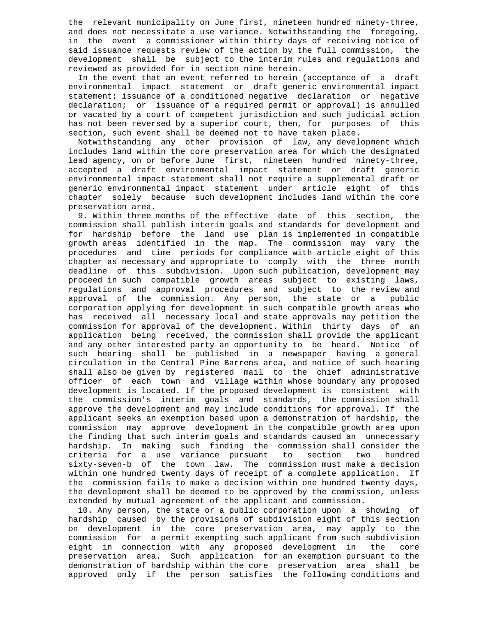the relevant municipality on June first, nineteen hundred ninety-three, and does not necessitate a use variance. Notwithstanding the foregoing, in the event a commissioner within thirty days of receiving notice of said issuance requests review of the action by the full commission, the development shall be subject to the interim rules and regulations and reviewed as provided for in section nine herein.

 In the event that an event referred to herein (acceptance of a draft environmental impact statement or draft generic environmental impact statement; issuance of a conditioned negative declaration or negative declaration; or issuance of a required permit or approval) is annulled or vacated by a court of competent jurisdiction and such judicial action has not been reversed by a superior court, then, for purposes of this section, such event shall be deemed not to have taken place.

 Notwithstanding any other provision of law, any development which includes land within the core preservation area for which the designated lead agency, on or before June first, nineteen hundred ninety-three, accepted a draft environmental impact statement or draft generic environmental impact statement shall not require a supplemental draft or generic environmental impact statement under article eight of this chapter solely because such development includes land within the core preservation area.

 9. Within three months of the effective date of this section, the commission shall publish interim goals and standards for development and for hardship before the land use plan is implemented in compatible growth areas identified in the map. The commission may vary the procedures and time periods for compliance with article eight of this chapter as necessary and appropriate to comply with the three month deadline of this subdivision. Upon such publication, development may proceed in such compatible growth areas subject to existing laws, regulations and approval procedures and subject to the review and approval of the commission. Any person, the state or a public corporation applying for development in such compatible growth areas who has received all necessary local and state approvals may petition the commission for approval of the development. Within thirty days of an application being received, the commission shall provide the applicant and any other interested party an opportunity to be heard. Notice of such hearing shall be published in a newspaper having a general circulation in the Central Pine Barrens area, and notice of such hearing shall also be given by registered mail to the chief administrative officer of each town and village within whose boundary any proposed development is located. If the proposed development is consistent with the commission's interim goals and standards, the commission shall approve the development and may include conditions for approval. If the applicant seeks an exemption based upon a demonstration of hardship, the commission may approve development in the compatible growth area upon the finding that such interim goals and standards caused an unnecessary hardship. In making such finding the commission-shall-consider-the<br>criteria for a use variance pursuant to section two hundred criteria for a use variance pursuant sixty-seven-b of the town law. The commission must make a decision within one hundred twenty days of receipt of a complete application. If the commission fails to make a decision within one hundred twenty days, the development shall be deemed to be approved by the commission, unless extended by mutual agreement of the applicant and commission.

 10. Any person, the state or a public corporation upon a showing of hardship caused by the provisions of subdivision eight of this section on development in the core preservation area, may apply to the commission for a permit exempting such applicant from such subdivision eight in connection with any proposed development in the core preservation area. Such application for an exemption pursuant to the demonstration of hardship within the core preservation area shall be approved only if the person satisfies the following conditions and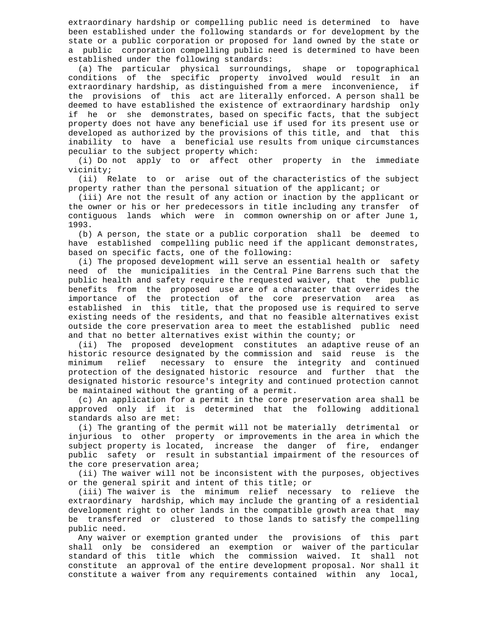extraordinary hardship or compelling public need is determined to have been established under the following standards or for development by the state or a public corporation or proposed for land owned by the state or a public corporation compelling public need is determined to have been established under the following standards:

 (a) The particular physical surroundings, shape or topographical conditions of the specific property involved would result in an extraordinary hardship, as distinguished from a mere inconvenience, if the provisions of this act are literally enforced. A person shall be deemed to have established the existence of extraordinary hardship only if he or she demonstrates, based on specific facts, that the subject property does not have any beneficial use if used for its present use or developed as authorized by the provisions of this title, and that this inability to have a beneficial use results from unique circumstances peculiar to the subject property which:

 (i) Do not apply to or affect other property in the immediate vicinity;

 (ii) Relate to or arise out of the characteristics of the subject property rather than the personal situation of the applicant; or

 (iii) Are not the result of any action or inaction by the applicant or the owner or his or her predecessors in title including any transfer of contiguous lands which were in common ownership on or after June 1, 1993.

 (b) A person, the state or a public corporation shall be deemed to have established compelling public need if the applicant demonstrates, based on specific facts, one of the following:

 (i) The proposed development will serve an essential health or safety need of the municipalities in the Central Pine Barrens such that the public health and safety require the requested waiver, that the public benefits from the proposed use are of a character that overrides the importance of the protection of the core preservation area as established in this title, that the proposed use is required to serve existing needs of the residents, and that no feasible alternatives exist outside the core preservation area to meet the established public need and that no better alternatives exist within the county; or

 (ii) The proposed development constitutes an adaptive reuse of an historic resource designated by the commission and said reuse is the minimum relief necessary to ensure the integrity and continued necessary to ensure the integrity and continued protection of the designated historic resource and further that the designated historic resource's integrity and continued protection cannot be maintained without the granting of a permit.

 (c) An application for a permit in the core preservation area shall be approved only if it is determined that the following additional standards also are met:

 (i) The granting of the permit will not be materially detrimental or injurious to other property or improvements in the area in which the subject property is located, increase the danger of fire, endanger public safety or result in substantial impairment of the resources of the core preservation area;

 (ii) The waiver will not be inconsistent with the purposes, objectives or the general spirit and intent of this title; or

 (iii) The waiver is the minimum relief necessary to relieve the extraordinary hardship, which may include the granting of a residential development right to other lands in the compatible growth area that may be transferred or clustered to those lands to satisfy the compelling public need.

 Any waiver or exemption granted under the provisions of this part shall only be considered an exemption or waiver of the particular standard of this title which the commission waived. It shall not constitute an approval of the entire development proposal. Nor shall it constitute a waiver from any requirements contained within any local,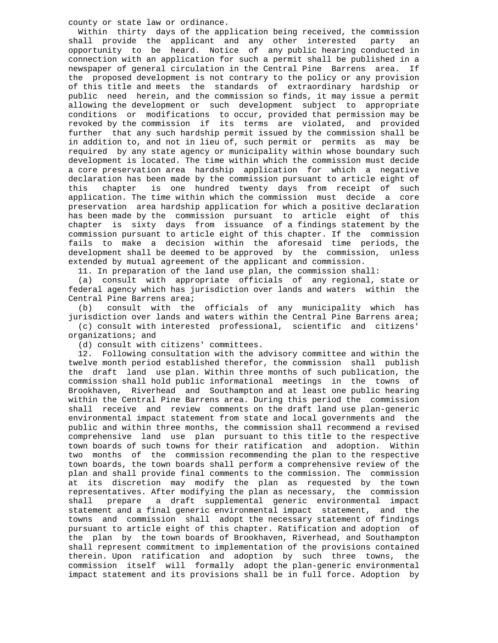county or state law or ordinance.

 Within thirty days of the application being received, the commission shall provide the applicant and any other interested party an opportunity to be heard. Notice of any public hearing conducted in connection with an application for such a permit shall be published in a newspaper of general circulation in the Central Pine Barrens area. If the proposed development is not contrary to the policy or any provision of this title and meets the standards of extraordinary hardship or public need herein, and the commission so finds, it may issue a permit allowing the development or such development subject to appropriate conditions or modifications to occur, provided that permission may be revoked by the commission if its terms are violated, and provided further that any such hardship permit issued by the commission shall be in addition to, and not in lieu of, such permit or permits as may be required by any state agency or municipality within whose boundary such development is located. The time within which the commission must decide a core preservation area hardship application for which a negative declaration has been made by the commission pursuant to article eight of this chapter is one hundred twenty days from receipt of such application. The time within which the commission must decide a core preservation area hardship application for which a positive declaration has been made by the commission pursuant to article eight of this chapter is sixty days from issuance of a findings statement by the commission pursuant to article eight of this chapter. If the commission fails to make a decision within the aforesaid time periods, the development shall be deemed to be approved by the commission, unless extended by mutual agreement of the applicant and commission.

11. In preparation of the land use plan, the commission shall:

 (a) consult with appropriate officials of any regional, state or federal agency which has jurisdiction over lands and waters within the Central Pine Barrens area;<br>(b) consult with the

consult with the officials of any municipality which has jurisdiction over lands and waters within the Central Pine Barrens area; (c) consult with interested professional, scientific and citizens' organizations; and

(d) consult with citizens' committees.

 12. Following consultation with the advisory committee and within the twelve month period established therefor, the commission shall publish the draft land use plan. Within three months of such publication, the commission shall hold public informational meetings in the towns of Brookhaven, Riverhead and Southampton and at least one public hearing within the Central Pine Barrens area. During this period the commission shall receive and review comments on the draft land use plan-generic environmental impact statement from state and local governments and the public and within three months, the commission shall recommend a revised comprehensive land use plan pursuant to this title to the respective town boards of such towns for their ratification and adoption. Within two months of the commission recommending the plan to the respective town boards, the town boards shall perform a comprehensive review of the plan and shall provide final comments to the commission. The commission at its discretion may modify the plan as requested by the town representatives. After modifying the plan as necessary, the commission shall prepare a draft supplemental generic environmental impact statement and a final generic environmental impact statement, and the towns and commission shall adopt the necessary statement of findings pursuant to article eight of this chapter. Ratification and adoption of the plan by the town boards of Brookhaven, Riverhead, and Southampton shall represent commitment to implementation of the provisions contained therein. Upon ratification and adoption by such three towns, the commission itself will formally adopt the plan-generic environmental impact statement and its provisions shall be in full force. Adoption by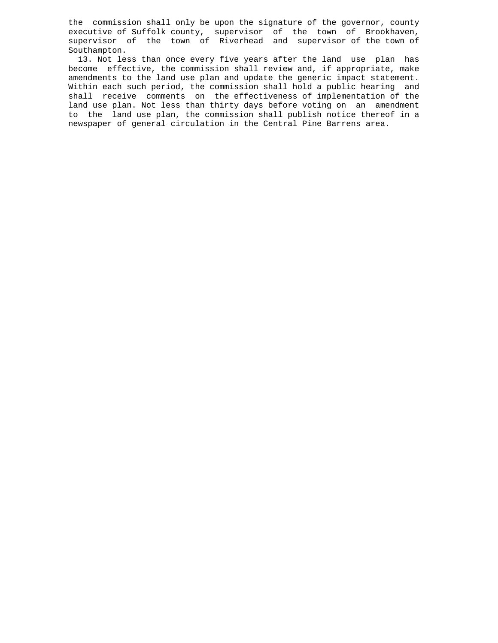the commission shall only be upon the signature of the governor, county executive of Suffolk county, supervisor of the town of Brookhaven, supervisor of the town of Riverhead and supervisor of the town of Southampton.

 13. Not less than once every five years after the land use plan has become effective, the commission shall review and, if appropriate, make amendments to the land use plan and update the generic impact statement. Within each such period, the commission shall hold a public hearing and shall receive comments on the effectiveness of implementation of the land use plan. Not less than thirty days before voting on an amendment to the land use plan, the commission shall publish notice thereof in a newspaper of general circulation in the Central Pine Barrens area.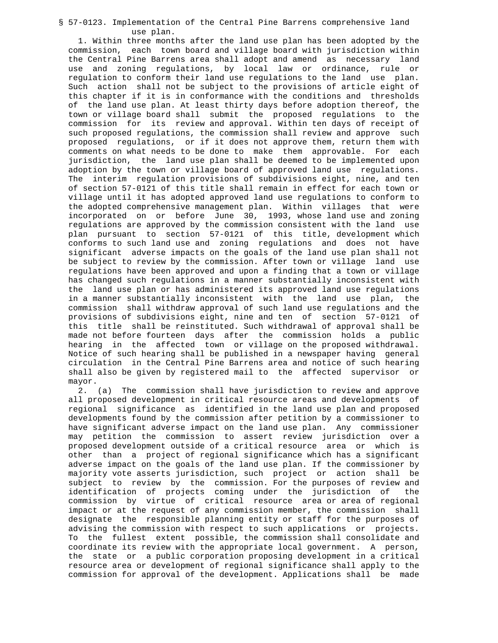#### § 57-0123. Implementation of the Central Pine Barrens comprehensive land use plan.

 1. Within three months after the land use plan has been adopted by the commission, each town board and village board with jurisdiction within the Central Pine Barrens area shall adopt and amend as necessary land use and zoning regulations, by local law or ordinance, rule or regulation to conform their land use regulations to the land use plan. Such action shall not be subject to the provisions of article eight of this chapter if it is in conformance with the conditions and thresholds of the land use plan. At least thirty days before adoption thereof, the town or village board shall submit the proposed regulations to the commission for its review and approval. Within ten days of receipt of such proposed regulations, the commission shall review and approve such proposed regulations, or if it does not approve them, return them with comments on what needs to be done to make them approvable. For each jurisdiction, the land use plan shall be deemed to be implemented upon adoption by the town or village board of approved land use regulations. The interim regulation provisions of subdivisions eight, nine, and ten of section 57-0121 of this title shall remain in effect for each town or village until it has adopted approved land use regulations to conform to the adopted comprehensive management plan. Within villages that were incorporated on or before June 30, 1993, whose land use and zoning regulations are approved by the commission consistent with the land use plan pursuant to section 57-0121 of this title, development which conforms to such land use and zoning regulations and does not have significant adverse impacts on the goals of the land use plan shall not be subject to review by the commission. After town or village land use regulations have been approved and upon a finding that a town or village has changed such regulations in a manner substantially inconsistent with the land use plan or has administered its approved land use regulations in a manner substantially inconsistent with the land use plan, the commission shall withdraw approval of such land use regulations and the provisions of subdivisions eight, nine and ten of section 57-0121 of this title shall be reinstituted. Such withdrawal of approval shall be made not before fourteen days after the commission holds a public hearing in the affected town or village on the proposed withdrawal. Notice of such hearing shall be published in a newspaper having general circulation in the Central Pine Barrens area and notice of such hearing shall also be given by registered mail to the affected supervisor or mayor.

 2. (a) The commission shall have jurisdiction to review and approve all proposed development in critical resource areas and developments of regional significance as identified in the land use plan and proposed developments found by the commission after petition by a commissioner to have significant adverse impact on the land use plan. Any commissioner may petition the commission to assert review jurisdiction over a proposed development outside of a critical resource area or which is other than a project of regional significance which has a significant adverse impact on the goals of the land use plan. If the commissioner by majority vote asserts jurisdiction, such project or action shall be subject to review by the commission. For the purposes of review and identification of projects coming under the jurisdiction of the commission by virtue of critical resource area or area of regional impact or at the request of any commission member, the commission shall designate the responsible planning entity or staff for the purposes of advising the commission with respect to such applications or projects. To the fullest extent possible, the commission shall consolidate and coordinate its review with the appropriate local government. A person, the state or a public corporation proposing development in a critical resource area or development of regional significance shall apply to the commission for approval of the development. Applications shall be made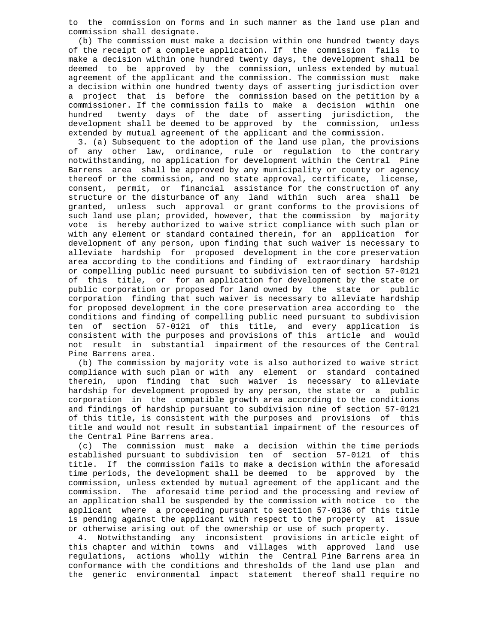to the commission on forms and in such manner as the land use plan and commission shall designate.

 (b) The commission must make a decision within one hundred twenty days of the receipt of a complete application. If the commission fails to make a decision within one hundred twenty days, the development shall be deemed to be approved by the commission, unless extended by mutual agreement of the applicant and the commission. The commission must make a decision within one hundred twenty days of asserting jurisdiction over a project that is before the commission based on the petition by a commissioner. If the commission fails to make a decision within one hundred twenty days of the date of asserting jurisdiction, the development shall be deemed to be approved by the commission, unless extended by mutual agreement of the applicant and the commission.

 3. (a) Subsequent to the adoption of the land use plan, the provisions of any other law, ordinance, rule or regulation to the contrary notwithstanding, no application for development within the Central Pine Barrens area shall be approved by any municipality or county or agency thereof or the commission, and no state approval, certificate, license, consent, permit, or financial assistance for the construction of any structure or the disturbance of any land within such area shall be granted, unless such approval or grant conforms to the provisions of such land use plan; provided, however, that the commission by majority vote is hereby authorized to waive strict compliance with such plan or with any element or standard contained therein, for an application for development of any person, upon finding that such waiver is necessary to alleviate hardship for proposed development in the core preservation area according to the conditions and finding of extraordinary hardship or compelling public need pursuant to subdivision ten of section 57-0121 of this title, or for an application for development by the state or public corporation or proposed for land owned by the state or public corporation finding that such waiver is necessary to alleviate hardship for proposed development in the core preservation area according to the conditions and finding of compelling public need pursuant to subdivision ten of section 57-0121 of this title, and every application is consistent with the purposes and provisions of this article and would not result in substantial impairment of the resources of the Central Pine Barrens area.

 (b) The commission by majority vote is also authorized to waive strict compliance with such plan or with any element or standard contained therein, upon finding that such waiver is necessary to alleviate hardship for development proposed by any person, the state or a public corporation in the compatible growth area according to the conditions and findings of hardship pursuant to subdivision nine of section 57-0121 of this title, is consistent with the purposes and provisions of this title and would not result in substantial impairment of the resources of the Central Pine Barrens area.

 (c) The commission must make a decision within the time periods established pursuant to subdivision ten of section 57-0121 of this title. If the commission fails to make a decision within the aforesaid time periods, the development shall be deemed to be approved by the commission, unless extended by mutual agreement of the applicant and the commission. The aforesaid time period and the processing and review of an application shall be suspended by the commission with notice to the applicant where a proceeding pursuant to section 57-0136 of this title is pending against the applicant with respect to the property at issue or otherwise arising out of the ownership or use of such property.

 4. Notwithstanding any inconsistent provisions in article eight of this chapter and within towns and villages with approved land use regulations, actions wholly within the Central Pine Barrens area in conformance with the conditions and thresholds of the land use plan and the generic environmental impact statement thereof shall require no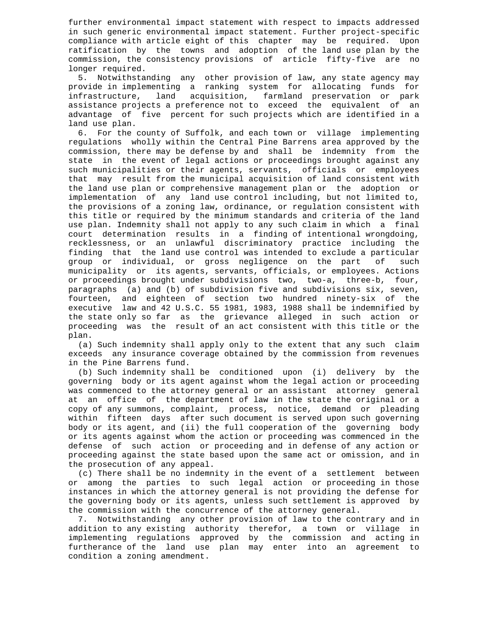further environmental impact statement with respect to impacts addressed in such generic environmental impact statement. Further project-specific compliance with article eight of this chapter may be required. Upon ratification by the towns and adoption of the land use plan by the commission, the consistency provisions of article fifty-five are no longer required.

 5. Notwithstanding any other provision of law, any state agency may provide in implementing a ranking system for allocating funds for infrastructure, land acquisition, farmland preservation or park assistance projects a preference not to exceed the equivalent of an advantage of five percent for such projects which are identified in a land use plan.

 6. For the county of Suffolk, and each town or village implementing regulations wholly within the Central Pine Barrens area approved by the commission, there may be defense by and shall be indemnity from the state in the event of legal actions or proceedings brought against any such municipalities or their agents, servants, officials or employees that may result from the municipal acquisition of land consistent with the land use plan or comprehensive management plan or the adoption or implementation of any land use control including, but not limited to, the provisions of a zoning law, ordinance, or regulation consistent with this title or required by the minimum standards and criteria of the land use plan. Indemnity shall not apply to any such claim in which a final court determination results in a finding of intentional wrongdoing, recklessness, or an unlawful discriminatory practice including the finding that the land use control was intended to exclude a particular<br>group or individual, or gross negligence on the part of such group or individual, or gross negligence on the part municipality or its agents, servants, officials, or employees. Actions or proceedings brought under subdivisions two, two-a, three-b, four, paragraphs (a) and (b) of subdivision five and subdivisions six, seven, fourteen, and eighteen of section two hundred ninety-six of the executive law and 42 U.S.C. 55 1981, 1983, 1988 shall be indemnified by the state only so far as the grievance alleged in such action or proceeding was the result of an act consistent with this title or the plan.

 (a) Such indemnity shall apply only to the extent that any such claim exceeds any insurance coverage obtained by the commission from revenues in the Pine Barrens fund.

 (b) Such indemnity shall be conditioned upon (i) delivery by the governing body or its agent against whom the legal action or proceeding was commenced to the attorney general or an assistant attorney general at an office of the department of law in the state the original or a copy of any summons, complaint, process, notice, demand or pleading within fifteen days after such document is served upon such governing body or its agent, and (ii) the full cooperation of the governing body or its agents against whom the action or proceeding was commenced in the defense of such action or proceeding and in defense of any action or proceeding against the state based upon the same act or omission, and in the prosecution of any appeal.

 (c) There shall be no indemnity in the event of a settlement between or among the parties to such legal action or proceeding in those instances in which the attorney general is not providing the defense for the governing body or its agents, unless such settlement is approved by the commission with the concurrence of the attorney general.

 7. Notwithstanding any other provision of law to the contrary and in addition to any existing authority therefor, a town or village in implementing regulations approved by the commission and acting in furtherance of the land use plan may enter into an agreement to condition a zoning amendment.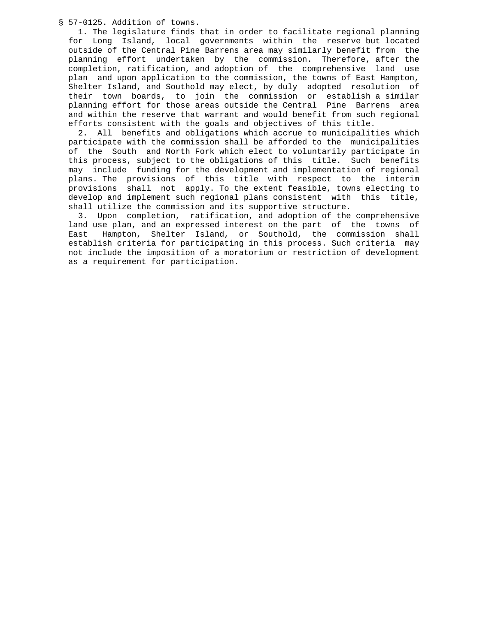§ 57-0125. Addition of towns.

 1. The legislature finds that in order to facilitate regional planning for Long Island, local governments within the reserve but located outside of the Central Pine Barrens area may similarly benefit from the planning effort undertaken by the commission. Therefore, after the completion, ratification, and adoption of the comprehensive land use plan and upon application to the commission, the towns of East Hampton, Shelter Island, and Southold may elect, by duly adopted resolution of their town boards, to join the commission or establish a similar planning effort for those areas outside the Central Pine Barrens area and within the reserve that warrant and would benefit from such regional efforts consistent with the goals and objectives of this title.

 2. All benefits and obligations which accrue to municipalities which participate with the commission shall be afforded to the municipalities of the South and North Fork which elect to voluntarily participate in this process, subject to the obligations of this title. Such benefits may include funding for the development and implementation of regional plans. The provisions of this title with respect to the interim provisions shall not apply. To the extent feasible, towns electing to develop and implement such regional plans consistent with this title, shall utilize the commission and its supportive structure.

 3. Upon completion, ratification, and adoption of the comprehensive land use plan, and an expressed interest on the part of the towns of East Hampton, Shelter Island, or Southold, the commission shall establish criteria for participating in this process. Such criteria may not include the imposition of a moratorium or restriction of development as a requirement for participation.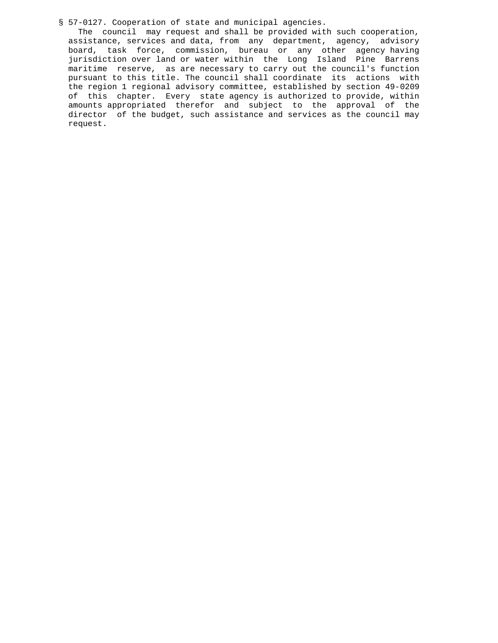§ 57-0127. Cooperation of state and municipal agencies.

 The council may request and shall be provided with such cooperation, assistance, services and data, from any department, agency, advisory board, task force, commission, bureau or any other agency having jurisdiction over land or water within the Long Island Pine Barrens maritime reserve, as are necessary to carry out the council's function pursuant to this title. The council shall coordinate its actions with the region 1 regional advisory committee, established by section 49-0209 of this chapter. Every state agency is authorized to provide, within amounts appropriated therefor and subject to the approval of the director of the budget, such assistance and services as the council may request.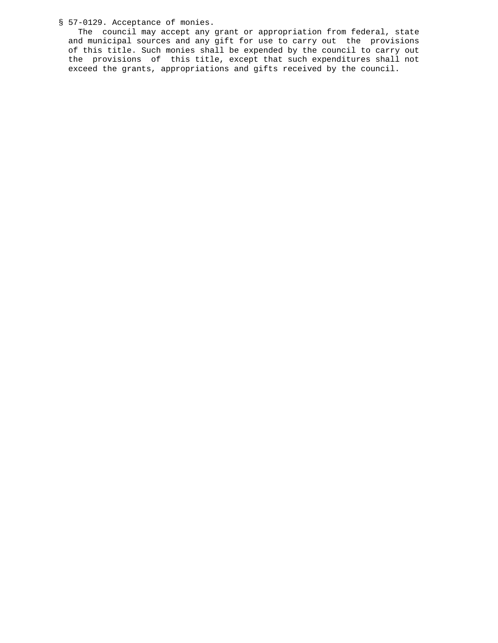## § 57-0129. Acceptance of monies.

 The council may accept any grant or appropriation from federal, state and municipal sources and any gift for use to carry out the provisions of this title. Such monies shall be expended by the council to carry out the provisions of this title, except that such expenditures shall not exceed the grants, appropriations and gifts received by the council.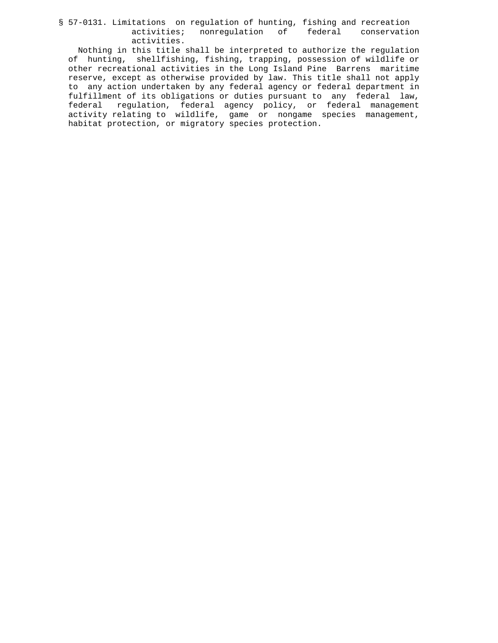### § 57-0131. Limitations on regulation of hunting, fishing and recreation<br>activities; nonregulation of federal conservation activities; nonregulation of activities.

 Nothing in this title shall be interpreted to authorize the regulation of hunting, shellfishing, fishing, trapping, possession of wildlife or other recreational activities in the Long Island Pine Barrens maritime reserve, except as otherwise provided by law. This title shall not apply to any action undertaken by any federal agency or federal department in fulfillment of its obligations or duties pursuant to any federal law, federal regulation, federal agency policy, or federal management activity relating to wildlife, game or nongame species management, habitat protection, or migratory species protection.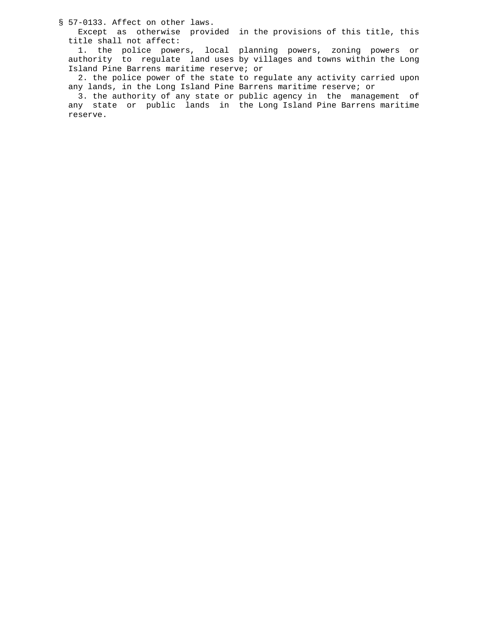§ 57-0133. Affect on other laws.

 Except as otherwise provided in the provisions of this title, this title shall not affect:

 1. the police powers, local planning powers, zoning powers or authority to regulate land uses by villages and towns within the Long Island Pine Barrens maritime reserve; or

 2. the police power of the state to regulate any activity carried upon any lands, in the Long Island Pine Barrens maritime reserve; or

 3. the authority of any state or public agency in the management of any state or public lands in the Long Island Pine Barrens maritime reserve.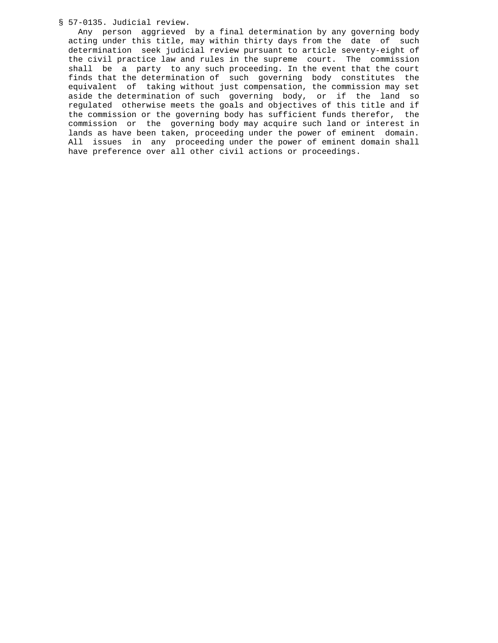§ 57-0135. Judicial review.

 Any person aggrieved by a final determination by any governing body acting under this title, may within thirty days from the date of such determination seek judicial review pursuant to article seventy-eight of the civil practice law and rules in the supreme court. The commission shall be a party to any such proceeding. In the event that the court finds that the determination of such governing body constitutes the equivalent of taking without just compensation, the commission may set aside the determination of such governing body, or if the land so regulated otherwise meets the goals and objectives of this title and if the commission or the governing body has sufficient funds therefor, the commission or the governing body may acquire such land or interest in lands as have been taken, proceeding under the power of eminent domain. All issues in any proceeding under the power of eminent domain shall have preference over all other civil actions or proceedings.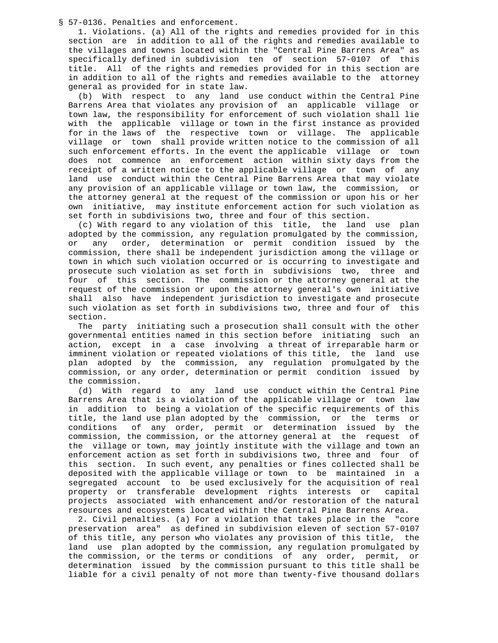§ 57-0136. Penalties and enforcement.

 1. Violations. (a) All of the rights and remedies provided for in this section are in addition to all of the rights and remedies available to the villages and towns located within the "Central Pine Barrens Area" as specifically defined in subdivision ten of section 57-0107 of this title. All of the rights and remedies provided for in this section are in addition to all of the rights and remedies available to the attorney general as provided for in state law.

 (b) With respect to any land use conduct within the Central Pine Barrens Area that violates any provision of an applicable village or town law, the responsibility for enforcement of such violation shall lie with the applicable village or town in the first instance as provided for in the laws of the respective town or village. The applicable village or town shall provide written notice to the commission of all such enforcement efforts. In the event the applicable village or town does not commence an enforcement action within sixty days from the receipt of a written notice to the applicable village or town of any land use conduct within the Central Pine Barrens Area that may violate any provision of an applicable village or town law, the commission, or the attorney general at the request of the commission or upon his or her own initiative, may institute enforcement action for such violation as set forth in subdivisions two, three and four of this section.

 (c) With regard to any violation of this title, the land use plan adopted by the commission, any regulation promulgated by the commission, or any order, determination or permit condition issued by the commission, there shall be independent jurisdiction among the village or town in which such violation occurred or is occurring to investigate and prosecute such violation as set forth in subdivisions two, three and four of this section. The commission or the attorney general at the request of the commission or upon the attorney general's own initiative shall also have independent jurisdiction to investigate and prosecute such violation as set forth in subdivisions two, three and four of this section.

 The party initiating such a prosecution shall consult with the other governmental entities named in this section before initiating such an action, except in a case involving a threat of irreparable harm or imminent violation or repeated violations of this title, the land use plan adopted by the commission, any regulation promulgated by the commission, or any order, determination or permit condition issued by the commission.

 (d) With regard to any land use conduct within the Central Pine Barrens Area that is a violation of the applicable village or town law in addition to being a violation of the specific requirements of this title, the land use plan adopted by the commission, or the terms or conditions of any order, permit or determination issued by the commission, the commission, or the attorney general at the request of the village or town, may jointly institute with the village and town an enforcement action as set forth in subdivisions two, three and four of this section. In such event, any penalties or fines collected shall be deposited with the applicable village or town to be maintained in a segregated account to be used exclusively for the acquisition of real property or transferable development rights interests or capital projects associated with enhancement and/or restoration of the natural resources and ecosystems located within the Central Pine Barrens Area.

 2. Civil penalties. (a) For a violation that takes place in the "core preservation area" as defined in subdivision eleven of section 57-0107 of this title, any person who violates any provision of this title, the land use plan adopted by the commission, any regulation promulgated by the commission, or the terms or conditions of any order, permit, or determination issued by the commission pursuant to this title shall be liable for a civil penalty of not more than twenty-five thousand dollars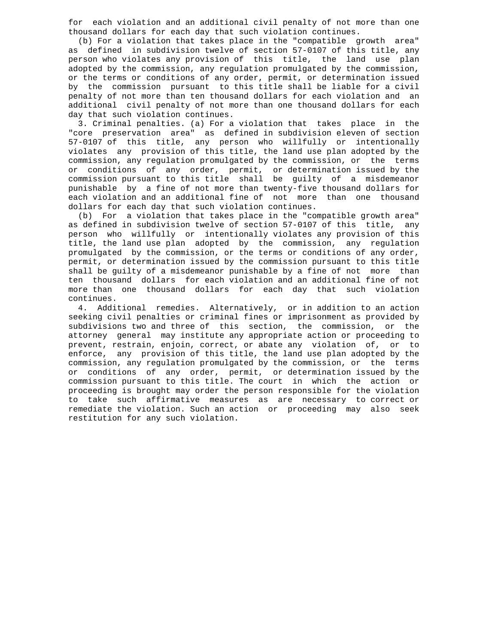for each violation and an additional civil penalty of not more than one thousand dollars for each day that such violation continues.

 (b) For a violation that takes place in the "compatible growth area" as defined in subdivision twelve of section 57-0107 of this title, any person who violates any provision of this title, the land use plan adopted by the commission, any regulation promulgated by the commission, or the terms or conditions of any order, permit, or determination issued by the commission pursuant to this title shall be liable for a civil penalty of not more than ten thousand dollars for each violation and an additional civil penalty of not more than one thousand dollars for each day that such violation continues.

 3. Criminal penalties. (a) For a violation that takes place in the "core preservation area" as defined in subdivision eleven of section 57-0107 of this title, any person who willfully or intentionally violates any provision of this title, the land use plan adopted by the commission, any regulation promulgated by the commission, or the terms or conditions of any order, permit, or determination issued by the commission pursuant to this title shall be guilty of a misdemeanor punishable by a fine of not more than twenty-five thousand dollars for each violation and an additional fine of not more than one thousand dollars for each day that such violation continues.

 (b) For a violation that takes place in the "compatible growth area" as defined in subdivision twelve of section 57-0107 of this title, any person who willfully or intentionally violates any provision of this title, the land use plan adopted by the commission, any regulation promulgated by the commission, or the terms or conditions of any order, permit, or determination issued by the commission pursuant to this title shall be guilty of a misdemeanor punishable by a fine of not more than ten thousand dollars for each violation and an additional fine of not more than one thousand dollars for each day that such violation continues.

 4. Additional remedies. Alternatively, or in addition to an action seeking civil penalties or criminal fines or imprisonment as provided by subdivisions two and three of this section, the commission, or the attorney general may institute any appropriate action or proceeding to prevent, restrain, enjoin, correct, or abate any violation of, or to enforce, any provision of this title, the land use plan adopted by the commission, any regulation promulgated by the commission, or the terms or conditions of any order, permit, or determination issued by the commission pursuant to this title. The court in which the action or proceeding is brought may order the person responsible for the violation to take such affirmative measures as are necessary to correct or remediate the violation. Such an action or proceeding may also seek restitution for any such violation.